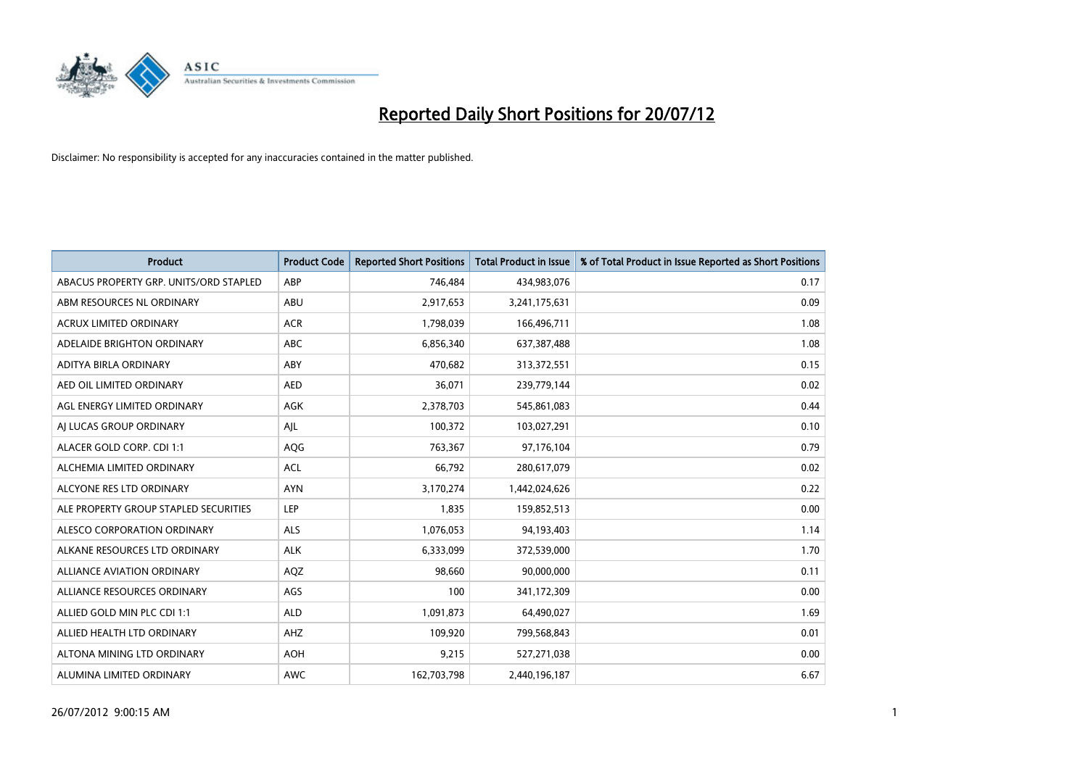

| <b>Product</b>                         | <b>Product Code</b> | <b>Reported Short Positions</b> | <b>Total Product in Issue</b> | % of Total Product in Issue Reported as Short Positions |
|----------------------------------------|---------------------|---------------------------------|-------------------------------|---------------------------------------------------------|
| ABACUS PROPERTY GRP. UNITS/ORD STAPLED | ABP                 | 746,484                         | 434,983,076                   | 0.17                                                    |
| ABM RESOURCES NL ORDINARY              | ABU                 | 2,917,653                       | 3,241,175,631                 | 0.09                                                    |
| <b>ACRUX LIMITED ORDINARY</b>          | <b>ACR</b>          | 1,798,039                       | 166,496,711                   | 1.08                                                    |
| ADELAIDE BRIGHTON ORDINARY             | <b>ABC</b>          | 6,856,340                       | 637, 387, 488                 | 1.08                                                    |
| ADITYA BIRLA ORDINARY                  | ABY                 | 470.682                         | 313,372,551                   | 0.15                                                    |
| AED OIL LIMITED ORDINARY               | <b>AED</b>          | 36,071                          | 239,779,144                   | 0.02                                                    |
| AGL ENERGY LIMITED ORDINARY            | <b>AGK</b>          | 2,378,703                       | 545,861,083                   | 0.44                                                    |
| AI LUCAS GROUP ORDINARY                | AJL                 | 100,372                         | 103,027,291                   | 0.10                                                    |
| ALACER GOLD CORP. CDI 1:1              | AQG                 | 763,367                         | 97,176,104                    | 0.79                                                    |
| ALCHEMIA LIMITED ORDINARY              | <b>ACL</b>          | 66,792                          | 280,617,079                   | 0.02                                                    |
| ALCYONE RES LTD ORDINARY               | <b>AYN</b>          | 3,170,274                       | 1,442,024,626                 | 0.22                                                    |
| ALE PROPERTY GROUP STAPLED SECURITIES  | LEP                 | 1,835                           | 159,852,513                   | 0.00                                                    |
| ALESCO CORPORATION ORDINARY            | <b>ALS</b>          | 1,076,053                       | 94,193,403                    | 1.14                                                    |
| ALKANE RESOURCES LTD ORDINARY          | <b>ALK</b>          | 6,333,099                       | 372,539,000                   | 1.70                                                    |
| ALLIANCE AVIATION ORDINARY             | AQZ                 | 98,660                          | 90,000,000                    | 0.11                                                    |
| ALLIANCE RESOURCES ORDINARY            | AGS                 | 100                             | 341,172,309                   | 0.00                                                    |
| ALLIED GOLD MIN PLC CDI 1:1            | <b>ALD</b>          | 1,091,873                       | 64,490,027                    | 1.69                                                    |
| ALLIED HEALTH LTD ORDINARY             | AHZ                 | 109,920                         | 799,568,843                   | 0.01                                                    |
| ALTONA MINING LTD ORDINARY             | <b>AOH</b>          | 9,215                           | 527,271,038                   | 0.00                                                    |
| ALUMINA LIMITED ORDINARY               | <b>AWC</b>          | 162,703,798                     | 2,440,196,187                 | 6.67                                                    |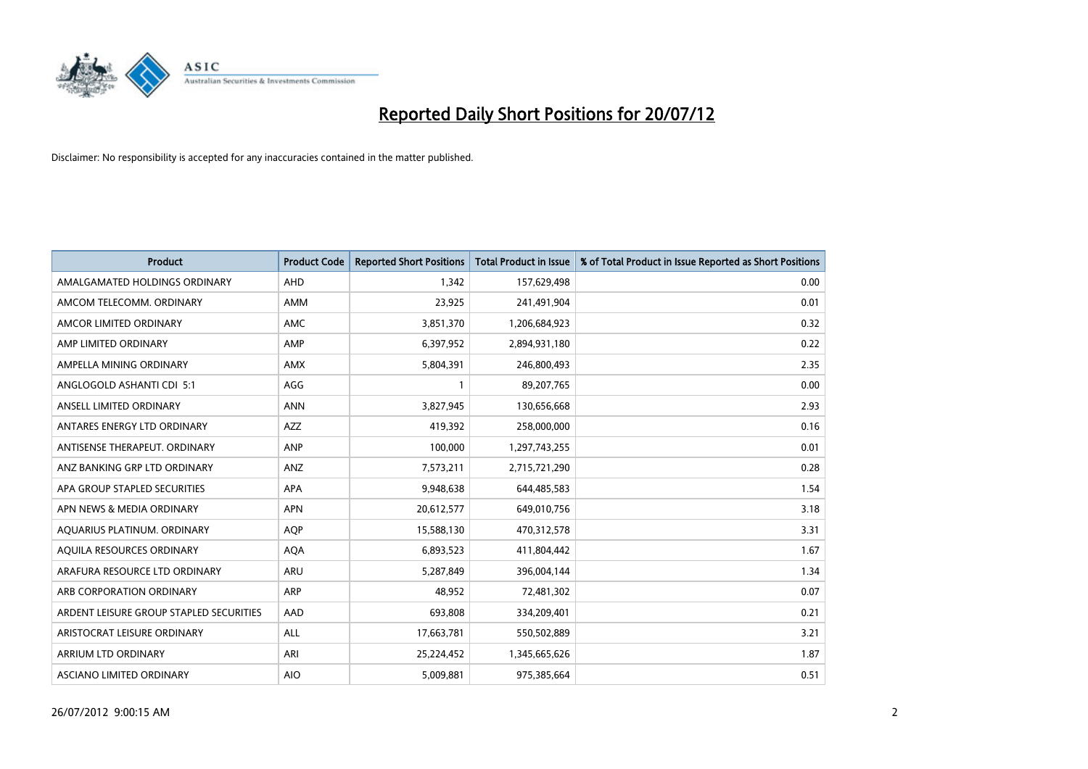

| <b>Product</b>                          | <b>Product Code</b> | <b>Reported Short Positions</b> | <b>Total Product in Issue</b> | % of Total Product in Issue Reported as Short Positions |
|-----------------------------------------|---------------------|---------------------------------|-------------------------------|---------------------------------------------------------|
| AMALGAMATED HOLDINGS ORDINARY           | <b>AHD</b>          | 1.342                           | 157,629,498                   | 0.00                                                    |
| AMCOM TELECOMM. ORDINARY                | <b>AMM</b>          | 23,925                          | 241,491,904                   | 0.01                                                    |
| AMCOR LIMITED ORDINARY                  | <b>AMC</b>          | 3,851,370                       | 1,206,684,923                 | 0.32                                                    |
| AMP LIMITED ORDINARY                    | AMP                 | 6,397,952                       | 2,894,931,180                 | 0.22                                                    |
| AMPELLA MINING ORDINARY                 | <b>AMX</b>          | 5,804,391                       | 246,800,493                   | 2.35                                                    |
| ANGLOGOLD ASHANTI CDI 5:1               | AGG                 |                                 | 89,207,765                    | 0.00                                                    |
| ANSELL LIMITED ORDINARY                 | <b>ANN</b>          | 3,827,945                       | 130,656,668                   | 2.93                                                    |
| ANTARES ENERGY LTD ORDINARY             | <b>AZZ</b>          | 419,392                         | 258,000,000                   | 0.16                                                    |
| ANTISENSE THERAPEUT, ORDINARY           | ANP                 | 100,000                         | 1,297,743,255                 | 0.01                                                    |
| ANZ BANKING GRP LTD ORDINARY            | ANZ                 | 7,573,211                       | 2,715,721,290                 | 0.28                                                    |
| APA GROUP STAPLED SECURITIES            | <b>APA</b>          | 9,948,638                       | 644,485,583                   | 1.54                                                    |
| APN NEWS & MEDIA ORDINARY               | <b>APN</b>          | 20,612,577                      | 649,010,756                   | 3.18                                                    |
| AQUARIUS PLATINUM. ORDINARY             | <b>AOP</b>          | 15,588,130                      | 470,312,578                   | 3.31                                                    |
| AQUILA RESOURCES ORDINARY               | <b>AQA</b>          | 6,893,523                       | 411,804,442                   | 1.67                                                    |
| ARAFURA RESOURCE LTD ORDINARY           | <b>ARU</b>          | 5,287,849                       | 396,004,144                   | 1.34                                                    |
| ARB CORPORATION ORDINARY                | ARP                 | 48,952                          | 72,481,302                    | 0.07                                                    |
| ARDENT LEISURE GROUP STAPLED SECURITIES | AAD                 | 693,808                         | 334,209,401                   | 0.21                                                    |
| ARISTOCRAT LEISURE ORDINARY             | <b>ALL</b>          | 17,663,781                      | 550,502,889                   | 3.21                                                    |
| <b>ARRIUM LTD ORDINARY</b>              | ARI                 | 25,224,452                      | 1,345,665,626                 | 1.87                                                    |
| ASCIANO LIMITED ORDINARY                | <b>AIO</b>          | 5,009,881                       | 975,385,664                   | 0.51                                                    |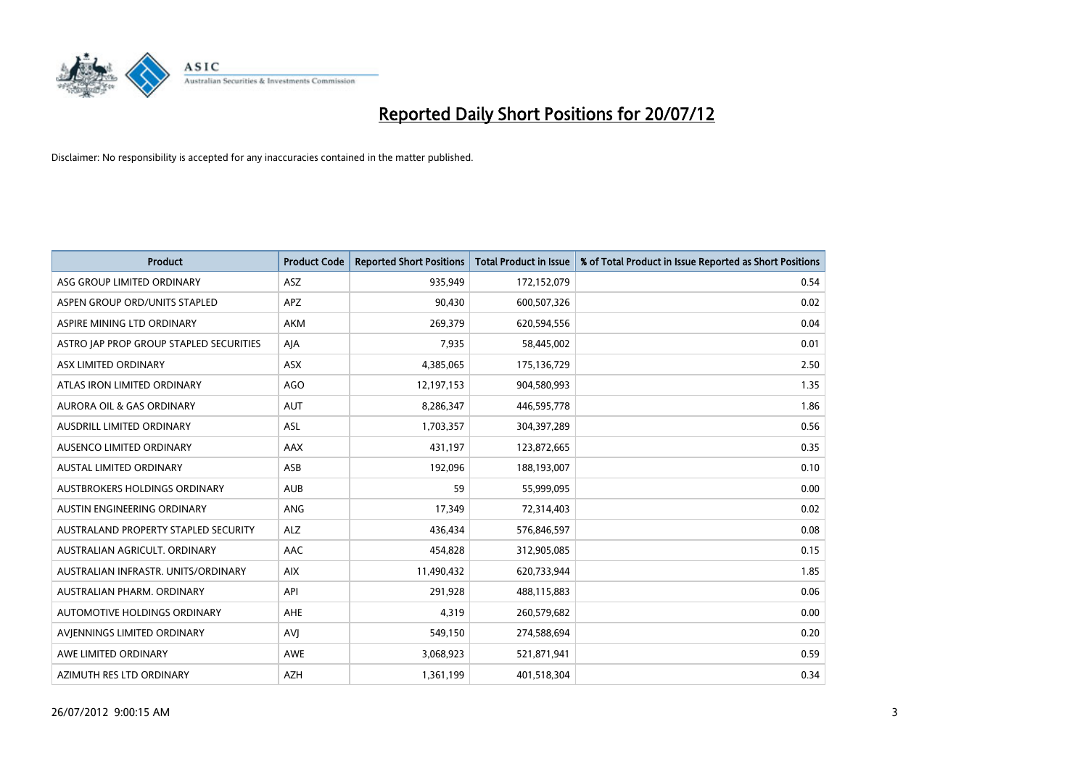

| <b>Product</b>                          | <b>Product Code</b> | <b>Reported Short Positions</b> | <b>Total Product in Issue</b> | % of Total Product in Issue Reported as Short Positions |
|-----------------------------------------|---------------------|---------------------------------|-------------------------------|---------------------------------------------------------|
| ASG GROUP LIMITED ORDINARY              | <b>ASZ</b>          | 935,949                         | 172,152,079                   | 0.54                                                    |
| ASPEN GROUP ORD/UNITS STAPLED           | <b>APZ</b>          | 90,430                          | 600,507,326                   | 0.02                                                    |
| ASPIRE MINING LTD ORDINARY              | <b>AKM</b>          | 269,379                         | 620,594,556                   | 0.04                                                    |
| ASTRO JAP PROP GROUP STAPLED SECURITIES | AJA                 | 7,935                           | 58,445,002                    | 0.01                                                    |
| ASX LIMITED ORDINARY                    | ASX                 | 4,385,065                       | 175,136,729                   | 2.50                                                    |
| ATLAS IRON LIMITED ORDINARY             | <b>AGO</b>          | 12,197,153                      | 904,580,993                   | 1.35                                                    |
| AURORA OIL & GAS ORDINARY               | <b>AUT</b>          | 8,286,347                       | 446,595,778                   | 1.86                                                    |
| AUSDRILL LIMITED ORDINARY               | ASL                 | 1,703,357                       | 304,397,289                   | 0.56                                                    |
| AUSENCO LIMITED ORDINARY                | AAX                 | 431,197                         | 123,872,665                   | 0.35                                                    |
| <b>AUSTAL LIMITED ORDINARY</b>          | ASB                 | 192,096                         | 188,193,007                   | 0.10                                                    |
| AUSTBROKERS HOLDINGS ORDINARY           | <b>AUB</b>          | 59                              | 55,999,095                    | 0.00                                                    |
| AUSTIN ENGINEERING ORDINARY             | <b>ANG</b>          | 17,349                          | 72,314,403                    | 0.02                                                    |
| AUSTRALAND PROPERTY STAPLED SECURITY    | <b>ALZ</b>          | 436,434                         | 576,846,597                   | 0.08                                                    |
| AUSTRALIAN AGRICULT. ORDINARY           | AAC                 | 454,828                         | 312,905,085                   | 0.15                                                    |
| AUSTRALIAN INFRASTR, UNITS/ORDINARY     | <b>AIX</b>          | 11,490,432                      | 620,733,944                   | 1.85                                                    |
| AUSTRALIAN PHARM. ORDINARY              | API                 | 291,928                         | 488,115,883                   | 0.06                                                    |
| AUTOMOTIVE HOLDINGS ORDINARY            | AHE                 | 4,319                           | 260,579,682                   | 0.00                                                    |
| AVJENNINGS LIMITED ORDINARY             | AVI                 | 549,150                         | 274,588,694                   | 0.20                                                    |
| AWE LIMITED ORDINARY                    | <b>AWE</b>          | 3,068,923                       | 521,871,941                   | 0.59                                                    |
| AZIMUTH RES LTD ORDINARY                | <b>AZH</b>          | 1,361,199                       | 401,518,304                   | 0.34                                                    |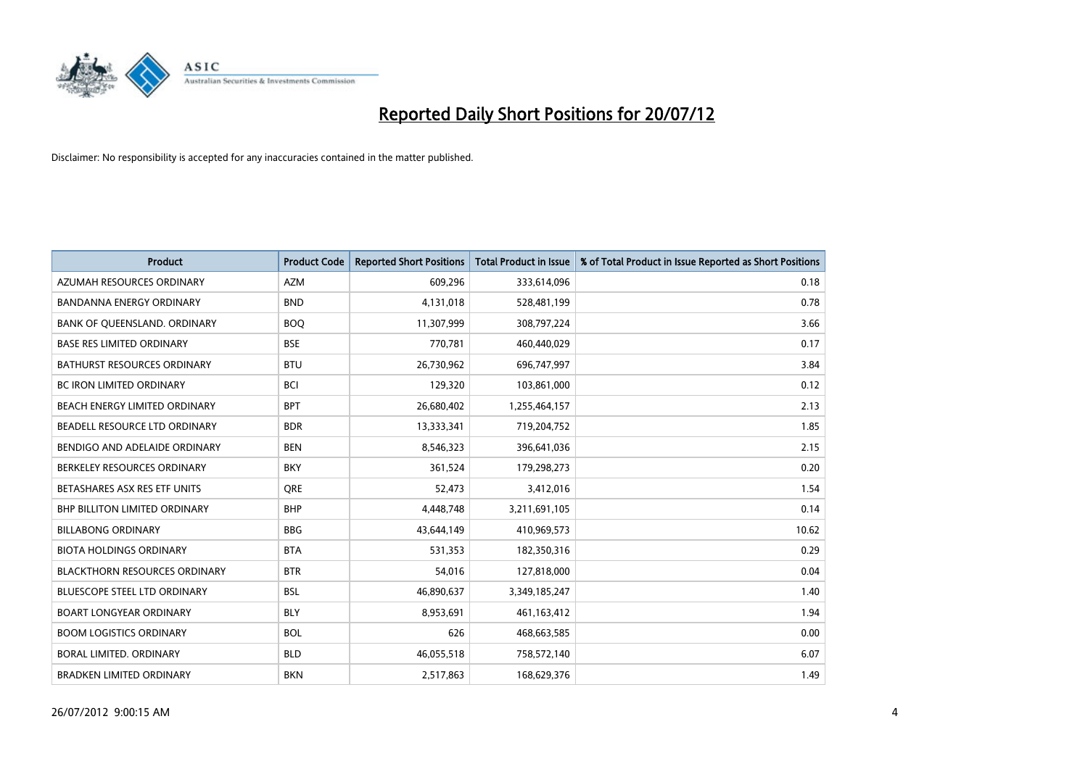

| <b>Product</b>                       | <b>Product Code</b> | <b>Reported Short Positions</b> | <b>Total Product in Issue</b> | % of Total Product in Issue Reported as Short Positions |
|--------------------------------------|---------------------|---------------------------------|-------------------------------|---------------------------------------------------------|
| AZUMAH RESOURCES ORDINARY            | <b>AZM</b>          | 609,296                         | 333,614,096                   | 0.18                                                    |
| BANDANNA ENERGY ORDINARY             | <b>BND</b>          | 4,131,018                       | 528,481,199                   | 0.78                                                    |
| BANK OF QUEENSLAND. ORDINARY         | <b>BOO</b>          | 11,307,999                      | 308,797,224                   | 3.66                                                    |
| <b>BASE RES LIMITED ORDINARY</b>     | <b>BSE</b>          | 770,781                         | 460,440,029                   | 0.17                                                    |
| <b>BATHURST RESOURCES ORDINARY</b>   | <b>BTU</b>          | 26,730,962                      | 696,747,997                   | 3.84                                                    |
| <b>BC IRON LIMITED ORDINARY</b>      | <b>BCI</b>          | 129,320                         | 103,861,000                   | 0.12                                                    |
| <b>BEACH ENERGY LIMITED ORDINARY</b> | <b>BPT</b>          | 26,680,402                      | 1,255,464,157                 | 2.13                                                    |
| BEADELL RESOURCE LTD ORDINARY        | <b>BDR</b>          | 13,333,341                      | 719,204,752                   | 1.85                                                    |
| BENDIGO AND ADELAIDE ORDINARY        | <b>BEN</b>          | 8,546,323                       | 396,641,036                   | 2.15                                                    |
| BERKELEY RESOURCES ORDINARY          | <b>BKY</b>          | 361,524                         | 179,298,273                   | 0.20                                                    |
| BETASHARES ASX RES ETF UNITS         | <b>ORE</b>          | 52,473                          | 3,412,016                     | 1.54                                                    |
| <b>BHP BILLITON LIMITED ORDINARY</b> | <b>BHP</b>          | 4,448,748                       | 3,211,691,105                 | 0.14                                                    |
| <b>BILLABONG ORDINARY</b>            | <b>BBG</b>          | 43,644,149                      | 410,969,573                   | 10.62                                                   |
| <b>BIOTA HOLDINGS ORDINARY</b>       | <b>BTA</b>          | 531,353                         | 182,350,316                   | 0.29                                                    |
| <b>BLACKTHORN RESOURCES ORDINARY</b> | <b>BTR</b>          | 54,016                          | 127,818,000                   | 0.04                                                    |
| BLUESCOPE STEEL LTD ORDINARY         | <b>BSL</b>          | 46,890,637                      | 3,349,185,247                 | 1.40                                                    |
| <b>BOART LONGYEAR ORDINARY</b>       | <b>BLY</b>          | 8,953,691                       | 461,163,412                   | 1.94                                                    |
| <b>BOOM LOGISTICS ORDINARY</b>       | <b>BOL</b>          | 626                             | 468,663,585                   | 0.00                                                    |
| BORAL LIMITED, ORDINARY              | <b>BLD</b>          | 46,055,518                      | 758,572,140                   | 6.07                                                    |
| <b>BRADKEN LIMITED ORDINARY</b>      | <b>BKN</b>          | 2,517,863                       | 168,629,376                   | 1.49                                                    |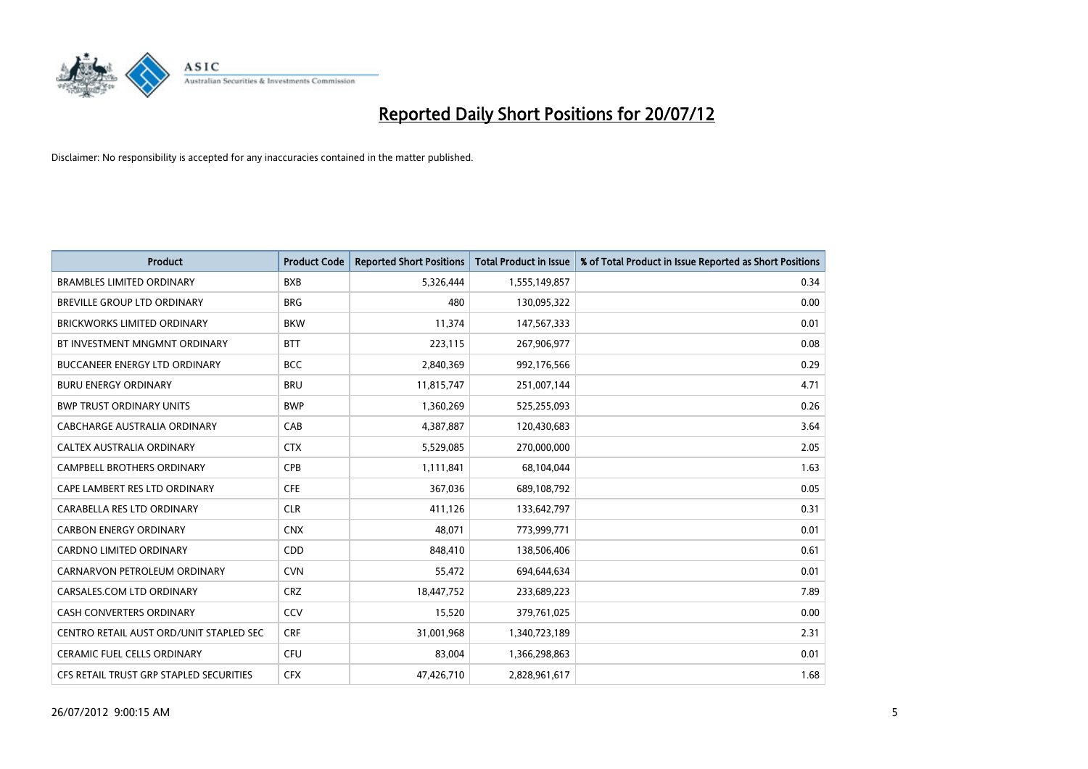

| <b>Product</b>                          | <b>Product Code</b> | <b>Reported Short Positions</b> | <b>Total Product in Issue</b> | % of Total Product in Issue Reported as Short Positions |
|-----------------------------------------|---------------------|---------------------------------|-------------------------------|---------------------------------------------------------|
| <b>BRAMBLES LIMITED ORDINARY</b>        | <b>BXB</b>          | 5,326,444                       | 1,555,149,857                 | 0.34                                                    |
| BREVILLE GROUP LTD ORDINARY             | <b>BRG</b>          | 480                             | 130,095,322                   | 0.00                                                    |
| <b>BRICKWORKS LIMITED ORDINARY</b>      | <b>BKW</b>          | 11,374                          | 147,567,333                   | 0.01                                                    |
| BT INVESTMENT MNGMNT ORDINARY           | <b>BTT</b>          | 223,115                         | 267,906,977                   | 0.08                                                    |
| <b>BUCCANEER ENERGY LTD ORDINARY</b>    | <b>BCC</b>          | 2,840,369                       | 992,176,566                   | 0.29                                                    |
| <b>BURU ENERGY ORDINARY</b>             | <b>BRU</b>          | 11,815,747                      | 251,007,144                   | 4.71                                                    |
| <b>BWP TRUST ORDINARY UNITS</b>         | <b>BWP</b>          | 1,360,269                       | 525,255,093                   | 0.26                                                    |
| CABCHARGE AUSTRALIA ORDINARY            | CAB                 | 4,387,887                       | 120,430,683                   | 3.64                                                    |
| CALTEX AUSTRALIA ORDINARY               | <b>CTX</b>          | 5,529,085                       | 270,000,000                   | 2.05                                                    |
| <b>CAMPBELL BROTHERS ORDINARY</b>       | CPB                 | 1,111,841                       | 68,104,044                    | 1.63                                                    |
| CAPE LAMBERT RES LTD ORDINARY           | <b>CFE</b>          | 367,036                         | 689,108,792                   | 0.05                                                    |
| CARABELLA RES LTD ORDINARY              | <b>CLR</b>          | 411,126                         | 133,642,797                   | 0.31                                                    |
| <b>CARBON ENERGY ORDINARY</b>           | <b>CNX</b>          | 48,071                          | 773,999,771                   | 0.01                                                    |
| <b>CARDNO LIMITED ORDINARY</b>          | CDD                 | 848,410                         | 138,506,406                   | 0.61                                                    |
| CARNARVON PETROLEUM ORDINARY            | <b>CVN</b>          | 55,472                          | 694,644,634                   | 0.01                                                    |
| CARSALES.COM LTD ORDINARY               | <b>CRZ</b>          | 18,447,752                      | 233,689,223                   | 7.89                                                    |
| <b>CASH CONVERTERS ORDINARY</b>         | CCV                 | 15,520                          | 379,761,025                   | 0.00                                                    |
| CENTRO RETAIL AUST ORD/UNIT STAPLED SEC | <b>CRF</b>          | 31,001,968                      | 1,340,723,189                 | 2.31                                                    |
| <b>CERAMIC FUEL CELLS ORDINARY</b>      | CFU                 | 83,004                          | 1,366,298,863                 | 0.01                                                    |
| CFS RETAIL TRUST GRP STAPLED SECURITIES | <b>CFX</b>          | 47,426,710                      | 2,828,961,617                 | 1.68                                                    |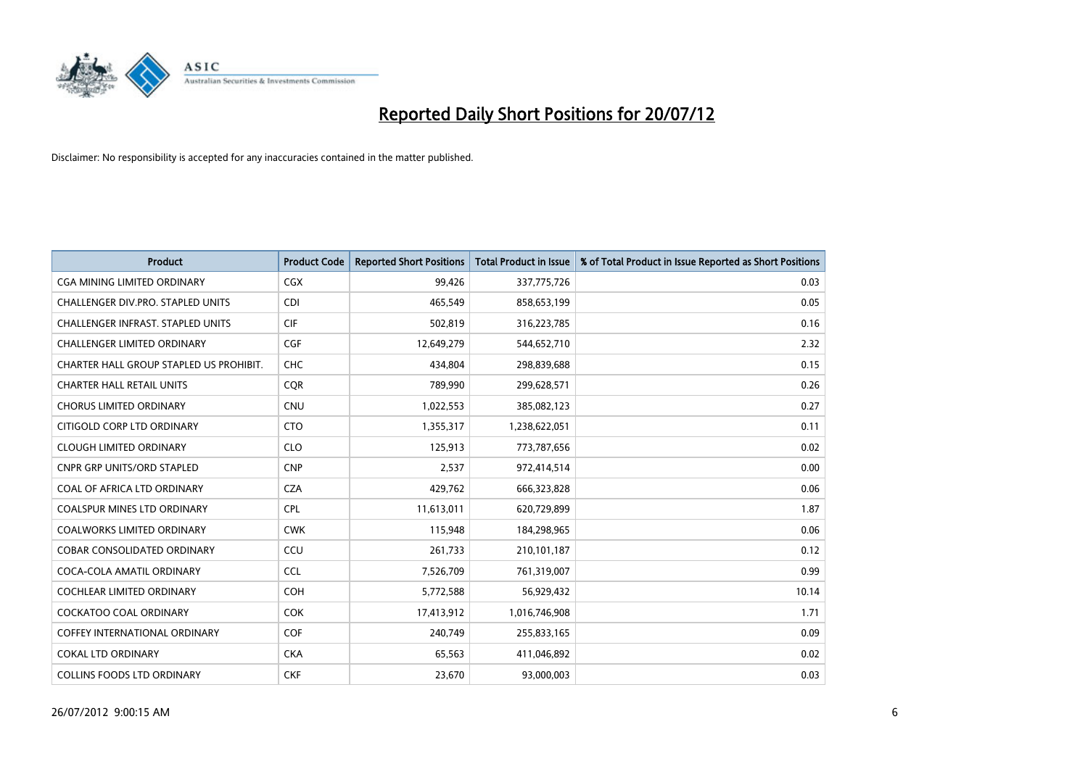

| <b>Product</b>                           | <b>Product Code</b> | <b>Reported Short Positions</b> | <b>Total Product in Issue</b> | % of Total Product in Issue Reported as Short Positions |
|------------------------------------------|---------------------|---------------------------------|-------------------------------|---------------------------------------------------------|
| <b>CGA MINING LIMITED ORDINARY</b>       | <b>CGX</b>          | 99,426                          | 337,775,726                   | 0.03                                                    |
| CHALLENGER DIV.PRO. STAPLED UNITS        | <b>CDI</b>          | 465,549                         | 858,653,199                   | 0.05                                                    |
| <b>CHALLENGER INFRAST, STAPLED UNITS</b> | <b>CIF</b>          | 502,819                         | 316,223,785                   | 0.16                                                    |
| CHALLENGER LIMITED ORDINARY              | <b>CGF</b>          | 12,649,279                      | 544,652,710                   | 2.32                                                    |
| CHARTER HALL GROUP STAPLED US PROHIBIT.  | CHC                 | 434,804                         | 298,839,688                   | 0.15                                                    |
| <b>CHARTER HALL RETAIL UNITS</b>         | <b>COR</b>          | 789,990                         | 299,628,571                   | 0.26                                                    |
| <b>CHORUS LIMITED ORDINARY</b>           | <b>CNU</b>          | 1,022,553                       | 385,082,123                   | 0.27                                                    |
| CITIGOLD CORP LTD ORDINARY               | <b>CTO</b>          | 1,355,317                       | 1,238,622,051                 | 0.11                                                    |
| <b>CLOUGH LIMITED ORDINARY</b>           | <b>CLO</b>          | 125,913                         | 773,787,656                   | 0.02                                                    |
| <b>CNPR GRP UNITS/ORD STAPLED</b>        | <b>CNP</b>          | 2,537                           | 972,414,514                   | 0.00                                                    |
| COAL OF AFRICA LTD ORDINARY              | <b>CZA</b>          | 429,762                         | 666,323,828                   | 0.06                                                    |
| <b>COALSPUR MINES LTD ORDINARY</b>       | <b>CPL</b>          | 11,613,011                      | 620,729,899                   | 1.87                                                    |
| COALWORKS LIMITED ORDINARY               | <b>CWK</b>          | 115,948                         | 184,298,965                   | 0.06                                                    |
| <b>COBAR CONSOLIDATED ORDINARY</b>       | CCU                 | 261,733                         | 210,101,187                   | 0.12                                                    |
| COCA-COLA AMATIL ORDINARY                | <b>CCL</b>          | 7,526,709                       | 761,319,007                   | 0.99                                                    |
| COCHLEAR LIMITED ORDINARY                | <b>COH</b>          | 5,772,588                       | 56,929,432                    | 10.14                                                   |
| COCKATOO COAL ORDINARY                   | <b>COK</b>          | 17,413,912                      | 1,016,746,908                 | 1.71                                                    |
| COFFEY INTERNATIONAL ORDINARY            | <b>COF</b>          | 240,749                         | 255,833,165                   | 0.09                                                    |
| <b>COKAL LTD ORDINARY</b>                | <b>CKA</b>          | 65,563                          | 411,046,892                   | 0.02                                                    |
| <b>COLLINS FOODS LTD ORDINARY</b>        | <b>CKF</b>          | 23,670                          | 93,000,003                    | 0.03                                                    |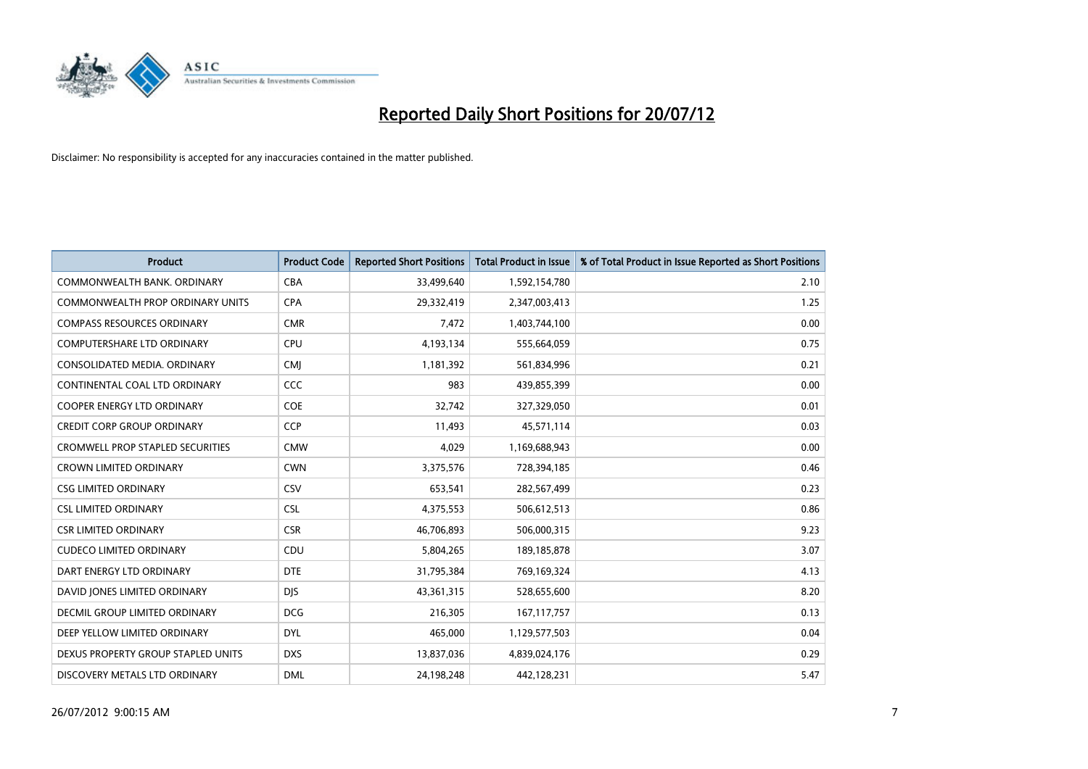

| <b>Product</b>                          | <b>Product Code</b> | <b>Reported Short Positions</b> | <b>Total Product in Issue</b> | % of Total Product in Issue Reported as Short Positions |
|-----------------------------------------|---------------------|---------------------------------|-------------------------------|---------------------------------------------------------|
| COMMONWEALTH BANK, ORDINARY             | <b>CBA</b>          | 33,499,640                      | 1,592,154,780                 | 2.10                                                    |
| COMMONWEALTH PROP ORDINARY UNITS        | <b>CPA</b>          | 29,332,419                      | 2,347,003,413                 | 1.25                                                    |
| <b>COMPASS RESOURCES ORDINARY</b>       | <b>CMR</b>          | 7,472                           | 1,403,744,100                 | 0.00                                                    |
| COMPUTERSHARE LTD ORDINARY              | CPU                 | 4,193,134                       | 555,664,059                   | 0.75                                                    |
| CONSOLIDATED MEDIA, ORDINARY            | <b>CMI</b>          | 1,181,392                       | 561,834,996                   | 0.21                                                    |
| CONTINENTAL COAL LTD ORDINARY           | <b>CCC</b>          | 983                             | 439,855,399                   | 0.00                                                    |
| COOPER ENERGY LTD ORDINARY              | COE                 | 32,742                          | 327,329,050                   | 0.01                                                    |
| <b>CREDIT CORP GROUP ORDINARY</b>       | CCP                 | 11,493                          | 45,571,114                    | 0.03                                                    |
| <b>CROMWELL PROP STAPLED SECURITIES</b> | <b>CMW</b>          | 4,029                           | 1,169,688,943                 | 0.00                                                    |
| <b>CROWN LIMITED ORDINARY</b>           | <b>CWN</b>          | 3,375,576                       | 728,394,185                   | 0.46                                                    |
| <b>CSG LIMITED ORDINARY</b>             | CSV                 | 653,541                         | 282,567,499                   | 0.23                                                    |
| <b>CSL LIMITED ORDINARY</b>             | <b>CSL</b>          | 4,375,553                       | 506,612,513                   | 0.86                                                    |
| <b>CSR LIMITED ORDINARY</b>             | <b>CSR</b>          | 46,706,893                      | 506,000,315                   | 9.23                                                    |
| <b>CUDECO LIMITED ORDINARY</b>          | CDU                 | 5,804,265                       | 189, 185, 878                 | 3.07                                                    |
| DART ENERGY LTD ORDINARY                | <b>DTE</b>          | 31,795,384                      | 769,169,324                   | 4.13                                                    |
| DAVID JONES LIMITED ORDINARY            | <b>DIS</b>          | 43,361,315                      | 528,655,600                   | 8.20                                                    |
| DECMIL GROUP LIMITED ORDINARY           | <b>DCG</b>          | 216,305                         | 167, 117, 757                 | 0.13                                                    |
| DEEP YELLOW LIMITED ORDINARY            | <b>DYL</b>          | 465,000                         | 1,129,577,503                 | 0.04                                                    |
| DEXUS PROPERTY GROUP STAPLED UNITS      | <b>DXS</b>          | 13,837,036                      | 4,839,024,176                 | 0.29                                                    |
| DISCOVERY METALS LTD ORDINARY           | <b>DML</b>          | 24,198,248                      | 442,128,231                   | 5.47                                                    |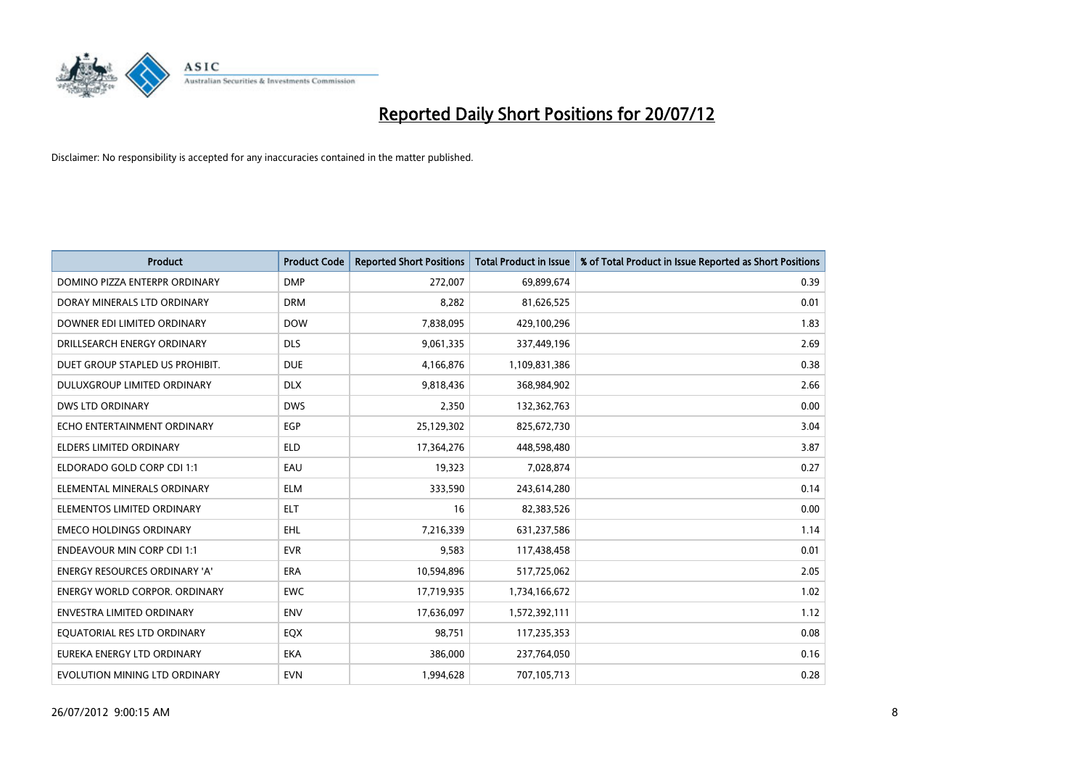

| <b>Product</b>                       | <b>Product Code</b> | <b>Reported Short Positions</b> | <b>Total Product in Issue</b> | % of Total Product in Issue Reported as Short Positions |
|--------------------------------------|---------------------|---------------------------------|-------------------------------|---------------------------------------------------------|
| DOMINO PIZZA ENTERPR ORDINARY        | <b>DMP</b>          | 272,007                         | 69,899,674                    | 0.39                                                    |
| DORAY MINERALS LTD ORDINARY          | <b>DRM</b>          | 8,282                           | 81,626,525                    | 0.01                                                    |
| DOWNER EDI LIMITED ORDINARY          | <b>DOW</b>          | 7,838,095                       | 429,100,296                   | 1.83                                                    |
| DRILLSEARCH ENERGY ORDINARY          | <b>DLS</b>          | 9,061,335                       | 337,449,196                   | 2.69                                                    |
| DUET GROUP STAPLED US PROHIBIT.      | <b>DUE</b>          | 4,166,876                       | 1,109,831,386                 | 0.38                                                    |
| <b>DULUXGROUP LIMITED ORDINARY</b>   | <b>DLX</b>          | 9,818,436                       | 368,984,902                   | 2.66                                                    |
| <b>DWS LTD ORDINARY</b>              | <b>DWS</b>          | 2,350                           | 132,362,763                   | 0.00                                                    |
| ECHO ENTERTAINMENT ORDINARY          | <b>EGP</b>          | 25,129,302                      | 825,672,730                   | 3.04                                                    |
| <b>ELDERS LIMITED ORDINARY</b>       | <b>ELD</b>          | 17,364,276                      | 448,598,480                   | 3.87                                                    |
| ELDORADO GOLD CORP CDI 1:1           | EAU                 | 19,323                          | 7,028,874                     | 0.27                                                    |
| ELEMENTAL MINERALS ORDINARY          | <b>ELM</b>          | 333,590                         | 243,614,280                   | 0.14                                                    |
| ELEMENTOS LIMITED ORDINARY           | <b>ELT</b>          | 16                              | 82,383,526                    | 0.00                                                    |
| <b>EMECO HOLDINGS ORDINARY</b>       | <b>EHL</b>          | 7,216,339                       | 631,237,586                   | 1.14                                                    |
| <b>ENDEAVOUR MIN CORP CDI 1:1</b>    | <b>EVR</b>          | 9,583                           | 117,438,458                   | 0.01                                                    |
| <b>ENERGY RESOURCES ORDINARY 'A'</b> | <b>ERA</b>          | 10,594,896                      | 517,725,062                   | 2.05                                                    |
| ENERGY WORLD CORPOR. ORDINARY        | <b>EWC</b>          | 17,719,935                      | 1,734,166,672                 | 1.02                                                    |
| ENVESTRA LIMITED ORDINARY            | <b>ENV</b>          | 17,636,097                      | 1,572,392,111                 | 1.12                                                    |
| EQUATORIAL RES LTD ORDINARY          | EQX                 | 98,751                          | 117,235,353                   | 0.08                                                    |
| EUREKA ENERGY LTD ORDINARY           | <b>EKA</b>          | 386,000                         | 237,764,050                   | 0.16                                                    |
| EVOLUTION MINING LTD ORDINARY        | <b>EVN</b>          | 1,994,628                       | 707,105,713                   | 0.28                                                    |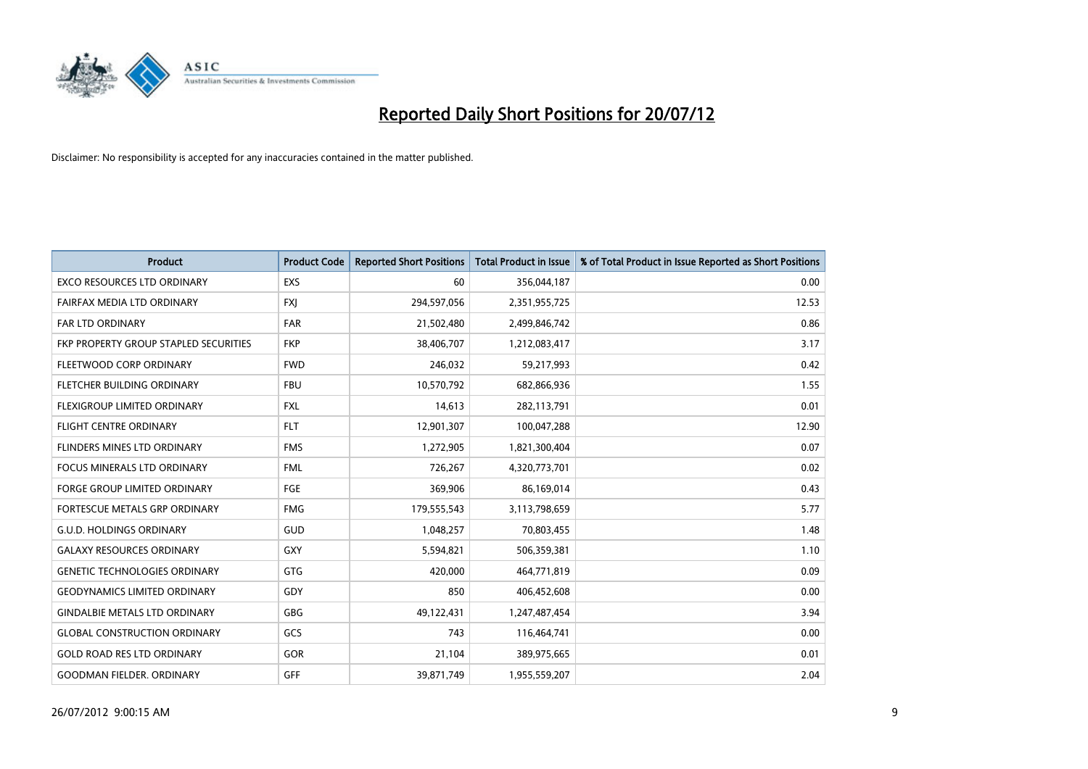

| <b>Product</b>                        | <b>Product Code</b> | <b>Reported Short Positions</b> | <b>Total Product in Issue</b> | % of Total Product in Issue Reported as Short Positions |
|---------------------------------------|---------------------|---------------------------------|-------------------------------|---------------------------------------------------------|
| <b>EXCO RESOURCES LTD ORDINARY</b>    | EXS                 | 60                              | 356,044,187                   | 0.00                                                    |
| FAIRFAX MEDIA LTD ORDINARY            | <b>FXI</b>          | 294,597,056                     | 2,351,955,725                 | 12.53                                                   |
| <b>FAR LTD ORDINARY</b>               | <b>FAR</b>          | 21,502,480                      | 2,499,846,742                 | 0.86                                                    |
| FKP PROPERTY GROUP STAPLED SECURITIES | <b>FKP</b>          | 38,406,707                      | 1,212,083,417                 | 3.17                                                    |
| FLEETWOOD CORP ORDINARY               | <b>FWD</b>          | 246,032                         | 59,217,993                    | 0.42                                                    |
| FLETCHER BUILDING ORDINARY            | <b>FBU</b>          | 10,570,792                      | 682,866,936                   | 1.55                                                    |
| <b>FLEXIGROUP LIMITED ORDINARY</b>    | <b>FXL</b>          | 14,613                          | 282,113,791                   | 0.01                                                    |
| FLIGHT CENTRE ORDINARY                | <b>FLT</b>          | 12,901,307                      | 100,047,288                   | 12.90                                                   |
| FLINDERS MINES LTD ORDINARY           | <b>FMS</b>          | 1,272,905                       | 1,821,300,404                 | 0.07                                                    |
| <b>FOCUS MINERALS LTD ORDINARY</b>    | <b>FML</b>          | 726,267                         | 4,320,773,701                 | 0.02                                                    |
| FORGE GROUP LIMITED ORDINARY          | FGE                 | 369,906                         | 86,169,014                    | 0.43                                                    |
| <b>FORTESCUE METALS GRP ORDINARY</b>  | <b>FMG</b>          | 179,555,543                     | 3,113,798,659                 | 5.77                                                    |
| <b>G.U.D. HOLDINGS ORDINARY</b>       | GUD                 | 1,048,257                       | 70,803,455                    | 1.48                                                    |
| <b>GALAXY RESOURCES ORDINARY</b>      | <b>GXY</b>          | 5,594,821                       | 506,359,381                   | 1.10                                                    |
| <b>GENETIC TECHNOLOGIES ORDINARY</b>  | <b>GTG</b>          | 420,000                         | 464,771,819                   | 0.09                                                    |
| <b>GEODYNAMICS LIMITED ORDINARY</b>   | GDY                 | 850                             | 406,452,608                   | 0.00                                                    |
| <b>GINDALBIE METALS LTD ORDINARY</b>  | <b>GBG</b>          | 49,122,431                      | 1,247,487,454                 | 3.94                                                    |
| <b>GLOBAL CONSTRUCTION ORDINARY</b>   | GCS                 | 743                             | 116,464,741                   | 0.00                                                    |
| <b>GOLD ROAD RES LTD ORDINARY</b>     | GOR                 | 21,104                          | 389,975,665                   | 0.01                                                    |
| <b>GOODMAN FIELDER. ORDINARY</b>      | <b>GFF</b>          | 39,871,749                      | 1,955,559,207                 | 2.04                                                    |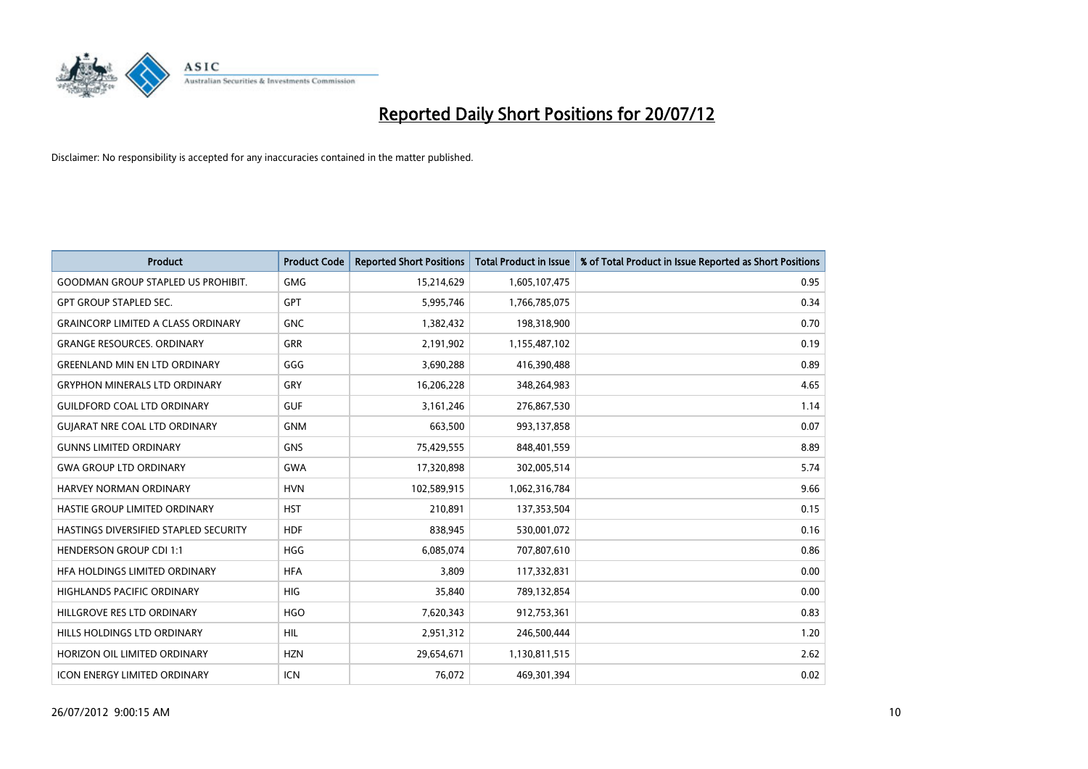

| <b>Product</b>                            | <b>Product Code</b> | <b>Reported Short Positions</b> | <b>Total Product in Issue</b> | % of Total Product in Issue Reported as Short Positions |
|-------------------------------------------|---------------------|---------------------------------|-------------------------------|---------------------------------------------------------|
| <b>GOODMAN GROUP STAPLED US PROHIBIT.</b> | <b>GMG</b>          | 15,214,629                      | 1,605,107,475                 | 0.95                                                    |
| <b>GPT GROUP STAPLED SEC.</b>             | <b>GPT</b>          | 5,995,746                       | 1,766,785,075                 | 0.34                                                    |
| <b>GRAINCORP LIMITED A CLASS ORDINARY</b> | <b>GNC</b>          | 1,382,432                       | 198,318,900                   | 0.70                                                    |
| <b>GRANGE RESOURCES, ORDINARY</b>         | <b>GRR</b>          | 2,191,902                       | 1,155,487,102                 | 0.19                                                    |
| <b>GREENLAND MIN EN LTD ORDINARY</b>      | GGG                 | 3,690,288                       | 416,390,488                   | 0.89                                                    |
| <b>GRYPHON MINERALS LTD ORDINARY</b>      | GRY                 | 16,206,228                      | 348,264,983                   | 4.65                                                    |
| <b>GUILDFORD COAL LTD ORDINARY</b>        | <b>GUF</b>          | 3,161,246                       | 276,867,530                   | 1.14                                                    |
| <b>GUIARAT NRE COAL LTD ORDINARY</b>      | <b>GNM</b>          | 663,500                         | 993,137,858                   | 0.07                                                    |
| <b>GUNNS LIMITED ORDINARY</b>             | <b>GNS</b>          | 75,429,555                      | 848,401,559                   | 8.89                                                    |
| <b>GWA GROUP LTD ORDINARY</b>             | <b>GWA</b>          | 17,320,898                      | 302,005,514                   | 5.74                                                    |
| HARVEY NORMAN ORDINARY                    | <b>HVN</b>          | 102,589,915                     | 1,062,316,784                 | 9.66                                                    |
| HASTIE GROUP LIMITED ORDINARY             | <b>HST</b>          | 210,891                         | 137,353,504                   | 0.15                                                    |
| HASTINGS DIVERSIFIED STAPLED SECURITY     | <b>HDF</b>          | 838,945                         | 530,001,072                   | 0.16                                                    |
| <b>HENDERSON GROUP CDI 1:1</b>            | <b>HGG</b>          | 6,085,074                       | 707,807,610                   | 0.86                                                    |
| HFA HOLDINGS LIMITED ORDINARY             | <b>HFA</b>          | 3,809                           | 117,332,831                   | 0.00                                                    |
| HIGHLANDS PACIFIC ORDINARY                | <b>HIG</b>          | 35,840                          | 789,132,854                   | 0.00                                                    |
| HILLGROVE RES LTD ORDINARY                | <b>HGO</b>          | 7,620,343                       | 912,753,361                   | 0.83                                                    |
| <b>HILLS HOLDINGS LTD ORDINARY</b>        | <b>HIL</b>          | 2,951,312                       | 246,500,444                   | 1.20                                                    |
| HORIZON OIL LIMITED ORDINARY              | <b>HZN</b>          | 29,654,671                      | 1,130,811,515                 | 2.62                                                    |
| <b>ICON ENERGY LIMITED ORDINARY</b>       | <b>ICN</b>          | 76,072                          | 469,301,394                   | 0.02                                                    |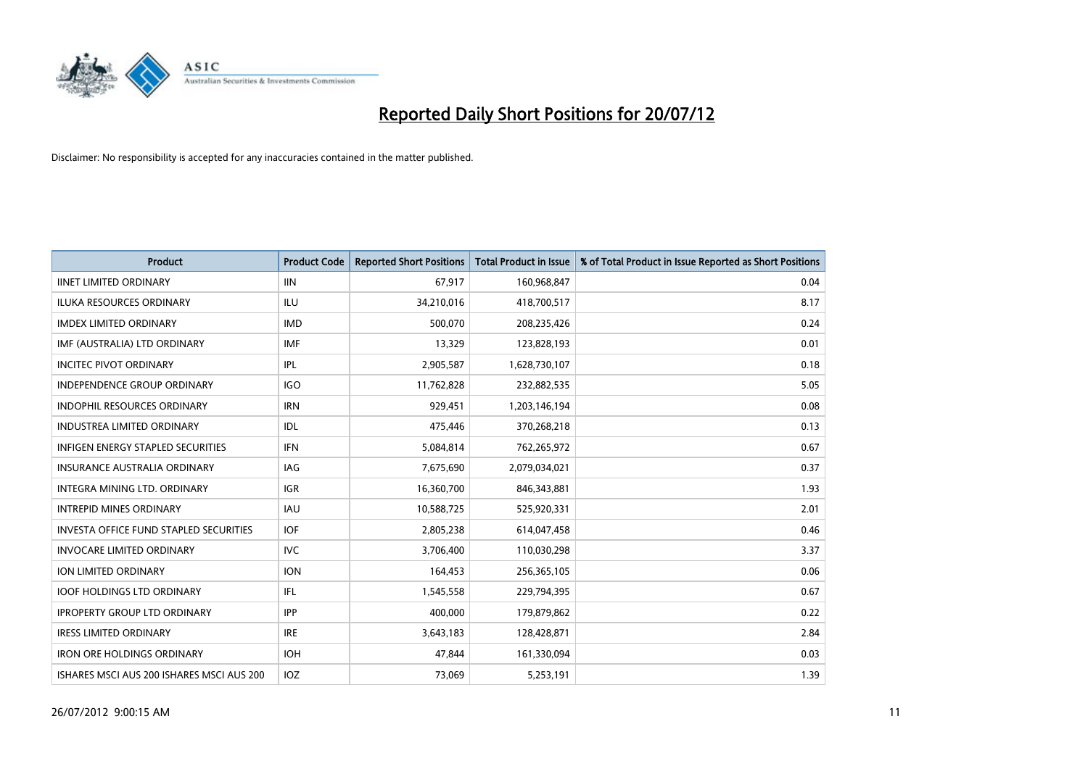

| <b>Product</b>                                | <b>Product Code</b> | <b>Reported Short Positions</b> | <b>Total Product in Issue</b> | % of Total Product in Issue Reported as Short Positions |
|-----------------------------------------------|---------------------|---------------------------------|-------------------------------|---------------------------------------------------------|
| <b>IINET LIMITED ORDINARY</b>                 | <b>IIN</b>          | 67,917                          | 160,968,847                   | 0.04                                                    |
| ILUKA RESOURCES ORDINARY                      | ILU                 | 34,210,016                      | 418,700,517                   | 8.17                                                    |
| <b>IMDEX LIMITED ORDINARY</b>                 | <b>IMD</b>          | 500,070                         | 208,235,426                   | 0.24                                                    |
| IMF (AUSTRALIA) LTD ORDINARY                  | <b>IMF</b>          | 13,329                          | 123,828,193                   | 0.01                                                    |
| <b>INCITEC PIVOT ORDINARY</b>                 | IPL                 | 2,905,587                       | 1,628,730,107                 | 0.18                                                    |
| <b>INDEPENDENCE GROUP ORDINARY</b>            | <b>IGO</b>          | 11,762,828                      | 232,882,535                   | 5.05                                                    |
| <b>INDOPHIL RESOURCES ORDINARY</b>            | <b>IRN</b>          | 929,451                         | 1,203,146,194                 | 0.08                                                    |
| <b>INDUSTREA LIMITED ORDINARY</b>             | IDL                 | 475,446                         | 370,268,218                   | 0.13                                                    |
| INFIGEN ENERGY STAPLED SECURITIES             | <b>IFN</b>          | 5,084,814                       | 762,265,972                   | 0.67                                                    |
| <b>INSURANCE AUSTRALIA ORDINARY</b>           | <b>IAG</b>          | 7,675,690                       | 2,079,034,021                 | 0.37                                                    |
| INTEGRA MINING LTD. ORDINARY                  | <b>IGR</b>          | 16,360,700                      | 846,343,881                   | 1.93                                                    |
| <b>INTREPID MINES ORDINARY</b>                | <b>IAU</b>          | 10,588,725                      | 525,920,331                   | 2.01                                                    |
| <b>INVESTA OFFICE FUND STAPLED SECURITIES</b> | <b>IOF</b>          | 2,805,238                       | 614,047,458                   | 0.46                                                    |
| <b>INVOCARE LIMITED ORDINARY</b>              | <b>IVC</b>          | 3,706,400                       | 110,030,298                   | 3.37                                                    |
| ION LIMITED ORDINARY                          | <b>ION</b>          | 164,453                         | 256,365,105                   | 0.06                                                    |
| <b>IOOF HOLDINGS LTD ORDINARY</b>             | IFL.                | 1,545,558                       | 229,794,395                   | 0.67                                                    |
| <b>IPROPERTY GROUP LTD ORDINARY</b>           | <b>IPP</b>          | 400,000                         | 179,879,862                   | 0.22                                                    |
| <b>IRESS LIMITED ORDINARY</b>                 | <b>IRE</b>          | 3,643,183                       | 128,428,871                   | 2.84                                                    |
| <b>IRON ORE HOLDINGS ORDINARY</b>             | <b>IOH</b>          | 47,844                          | 161,330,094                   | 0.03                                                    |
| ISHARES MSCI AUS 200 ISHARES MSCI AUS 200     | <b>IOZ</b>          | 73.069                          | 5,253,191                     | 1.39                                                    |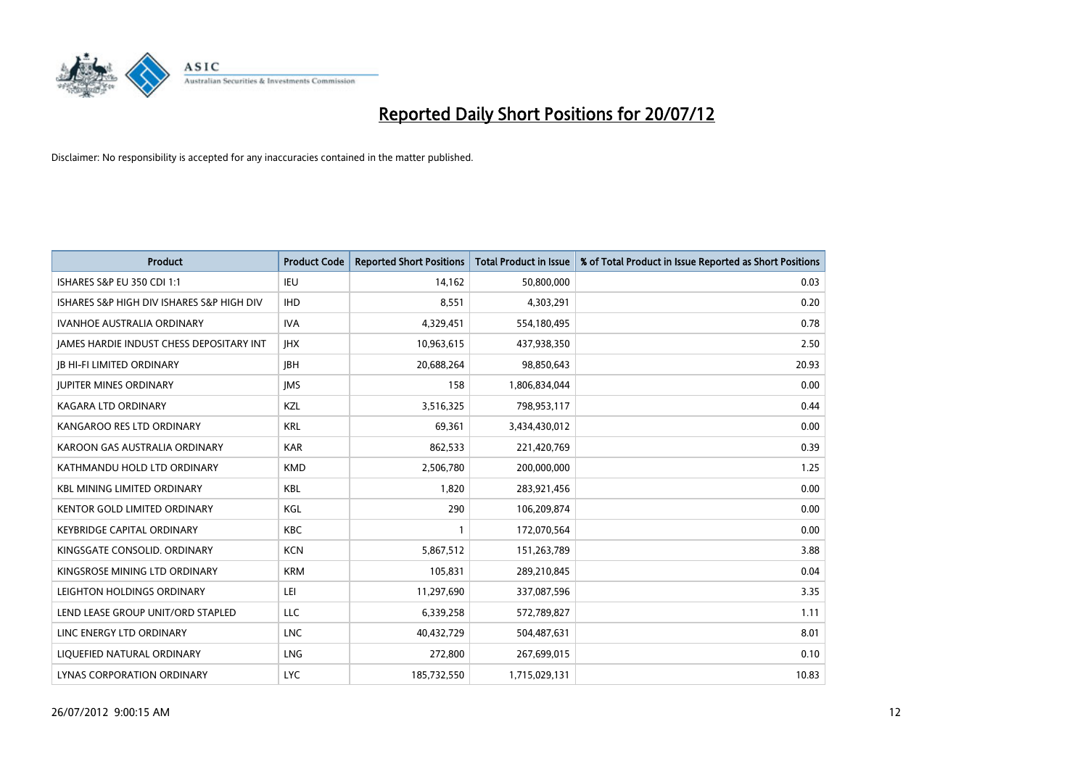

| <b>Product</b>                                  | <b>Product Code</b> | <b>Reported Short Positions</b> | <b>Total Product in Issue</b> | % of Total Product in Issue Reported as Short Positions |
|-------------------------------------------------|---------------------|---------------------------------|-------------------------------|---------------------------------------------------------|
| <b>ISHARES S&amp;P EU 350 CDI 1:1</b>           | IEU                 | 14,162                          | 50,800,000                    | 0.03                                                    |
| ISHARES S&P HIGH DIV ISHARES S&P HIGH DIV       | <b>IHD</b>          | 8,551                           | 4,303,291                     | 0.20                                                    |
| <b>IVANHOE AUSTRALIA ORDINARY</b>               | <b>IVA</b>          | 4,329,451                       | 554,180,495                   | 0.78                                                    |
| <b>JAMES HARDIE INDUST CHESS DEPOSITARY INT</b> | <b>IHX</b>          | 10,963,615                      | 437,938,350                   | 2.50                                                    |
| <b>IB HI-FI LIMITED ORDINARY</b>                | <b>IBH</b>          | 20,688,264                      | 98,850,643                    | 20.93                                                   |
| <b>JUPITER MINES ORDINARY</b>                   | <b>IMS</b>          | 158                             | 1,806,834,044                 | 0.00                                                    |
| KAGARA LTD ORDINARY                             | <b>KZL</b>          | 3,516,325                       | 798,953,117                   | 0.44                                                    |
| KANGAROO RES LTD ORDINARY                       | <b>KRL</b>          | 69,361                          | 3,434,430,012                 | 0.00                                                    |
| KAROON GAS AUSTRALIA ORDINARY                   | <b>KAR</b>          | 862,533                         | 221,420,769                   | 0.39                                                    |
| KATHMANDU HOLD LTD ORDINARY                     | <b>KMD</b>          | 2,506,780                       | 200,000,000                   | 1.25                                                    |
| <b>KBL MINING LIMITED ORDINARY</b>              | <b>KBL</b>          | 1,820                           | 283,921,456                   | 0.00                                                    |
| <b>KENTOR GOLD LIMITED ORDINARY</b>             | KGL                 | 290                             | 106,209,874                   | 0.00                                                    |
| <b>KEYBRIDGE CAPITAL ORDINARY</b>               | <b>KBC</b>          |                                 | 172,070,564                   | 0.00                                                    |
| KINGSGATE CONSOLID. ORDINARY                    | <b>KCN</b>          | 5,867,512                       | 151,263,789                   | 3.88                                                    |
| KINGSROSE MINING LTD ORDINARY                   | <b>KRM</b>          | 105,831                         | 289,210,845                   | 0.04                                                    |
| LEIGHTON HOLDINGS ORDINARY                      | LEI                 | 11,297,690                      | 337,087,596                   | 3.35                                                    |
| LEND LEASE GROUP UNIT/ORD STAPLED               | LLC                 | 6,339,258                       | 572,789,827                   | 1.11                                                    |
| LINC ENERGY LTD ORDINARY                        | <b>LNC</b>          | 40,432,729                      | 504,487,631                   | 8.01                                                    |
| LIOUEFIED NATURAL ORDINARY                      | <b>LNG</b>          | 272,800                         | 267,699,015                   | 0.10                                                    |
| LYNAS CORPORATION ORDINARY                      | <b>LYC</b>          | 185,732,550                     | 1,715,029,131                 | 10.83                                                   |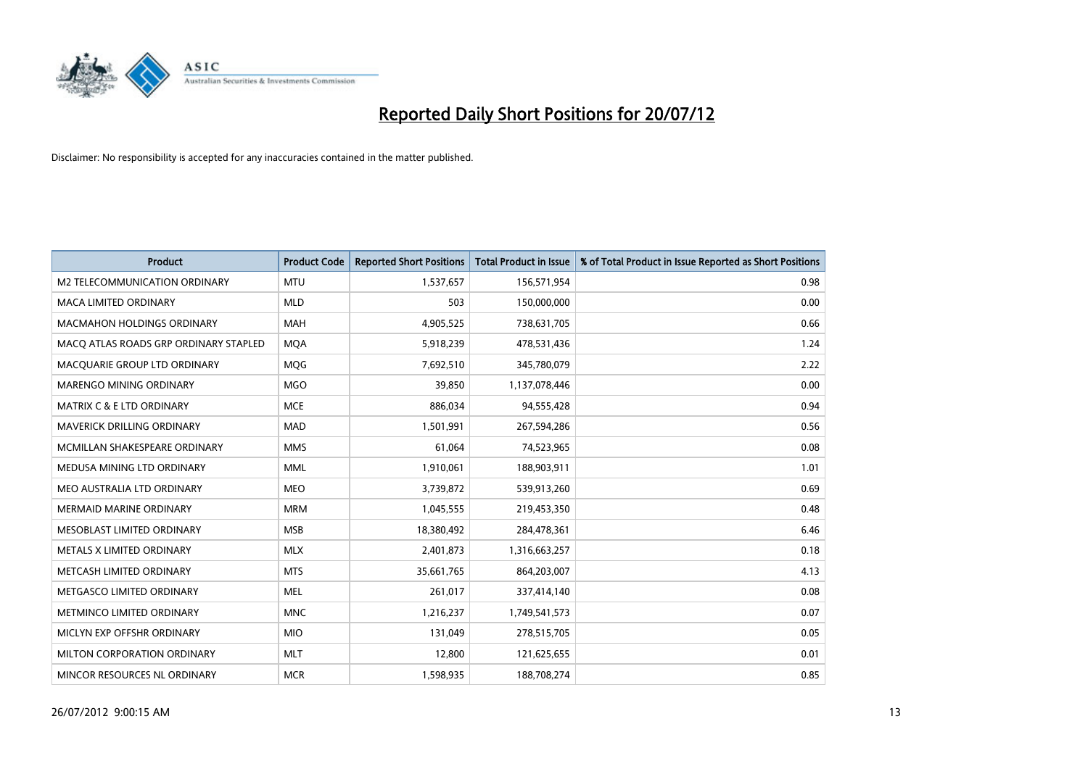

| <b>Product</b>                        | <b>Product Code</b> | <b>Reported Short Positions</b> | <b>Total Product in Issue</b> | % of Total Product in Issue Reported as Short Positions |
|---------------------------------------|---------------------|---------------------------------|-------------------------------|---------------------------------------------------------|
| M2 TELECOMMUNICATION ORDINARY         | <b>MTU</b>          | 1,537,657                       | 156,571,954                   | 0.98                                                    |
| MACA LIMITED ORDINARY                 | <b>MLD</b>          | 503                             | 150,000,000                   | 0.00                                                    |
| <b>MACMAHON HOLDINGS ORDINARY</b>     | <b>MAH</b>          | 4,905,525                       | 738,631,705                   | 0.66                                                    |
| MACQ ATLAS ROADS GRP ORDINARY STAPLED | <b>MQA</b>          | 5,918,239                       | 478,531,436                   | 1.24                                                    |
| MACQUARIE GROUP LTD ORDINARY          | <b>MOG</b>          | 7,692,510                       | 345,780,079                   | 2.22                                                    |
| MARENGO MINING ORDINARY               | <b>MGO</b>          | 39,850                          | 1,137,078,446                 | 0.00                                                    |
| <b>MATRIX C &amp; E LTD ORDINARY</b>  | <b>MCE</b>          | 886,034                         | 94,555,428                    | 0.94                                                    |
| MAVERICK DRILLING ORDINARY            | <b>MAD</b>          | 1,501,991                       | 267,594,286                   | 0.56                                                    |
| MCMILLAN SHAKESPEARE ORDINARY         | <b>MMS</b>          | 61,064                          | 74,523,965                    | 0.08                                                    |
| MEDUSA MINING LTD ORDINARY            | <b>MML</b>          | 1,910,061                       | 188,903,911                   | 1.01                                                    |
| MEO AUSTRALIA LTD ORDINARY            | <b>MEO</b>          | 3,739,872                       | 539,913,260                   | 0.69                                                    |
| <b>MERMAID MARINE ORDINARY</b>        | <b>MRM</b>          | 1,045,555                       | 219,453,350                   | 0.48                                                    |
| MESOBLAST LIMITED ORDINARY            | <b>MSB</b>          | 18,380,492                      | 284,478,361                   | 6.46                                                    |
| METALS X LIMITED ORDINARY             | <b>MLX</b>          | 2,401,873                       | 1,316,663,257                 | 0.18                                                    |
| METCASH LIMITED ORDINARY              | <b>MTS</b>          | 35,661,765                      | 864,203,007                   | 4.13                                                    |
| METGASCO LIMITED ORDINARY             | <b>MEL</b>          | 261,017                         | 337,414,140                   | 0.08                                                    |
| METMINCO LIMITED ORDINARY             | <b>MNC</b>          | 1,216,237                       | 1,749,541,573                 | 0.07                                                    |
| MICLYN EXP OFFSHR ORDINARY            | <b>MIO</b>          | 131,049                         | 278,515,705                   | 0.05                                                    |
| MILTON CORPORATION ORDINARY           | <b>MLT</b>          | 12,800                          | 121,625,655                   | 0.01                                                    |
| MINCOR RESOURCES NL ORDINARY          | <b>MCR</b>          | 1,598,935                       | 188,708,274                   | 0.85                                                    |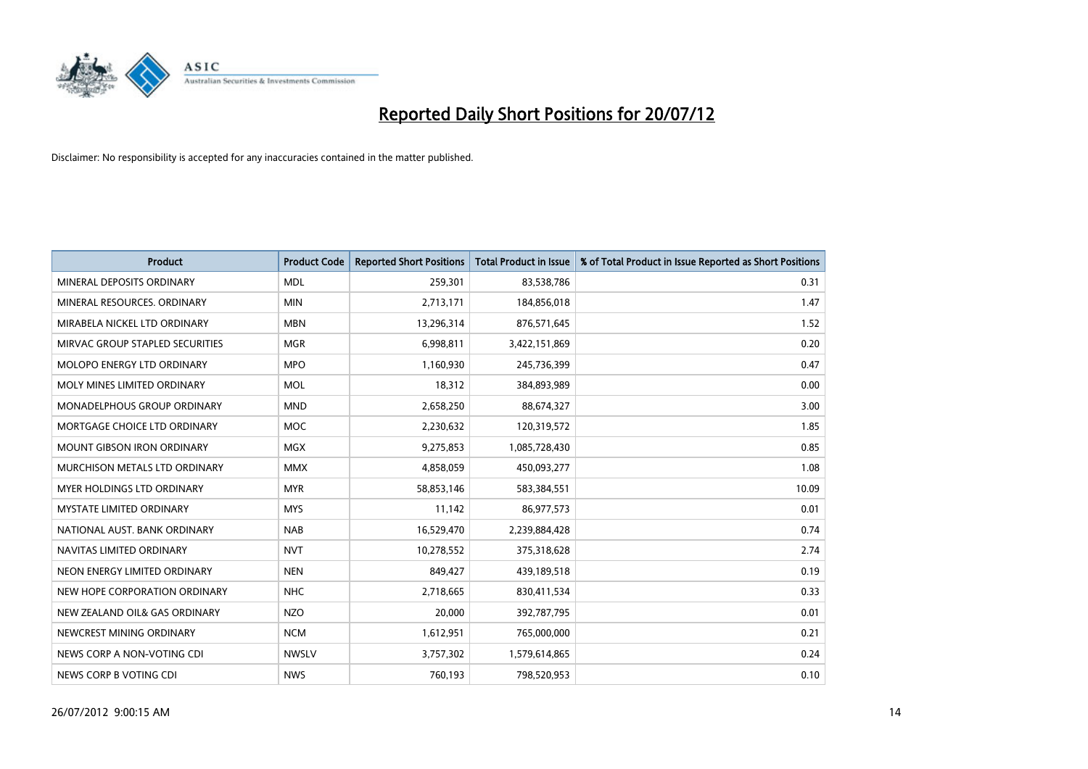

| <b>Product</b>                       | <b>Product Code</b> | <b>Reported Short Positions</b> | <b>Total Product in Issue</b> | % of Total Product in Issue Reported as Short Positions |
|--------------------------------------|---------------------|---------------------------------|-------------------------------|---------------------------------------------------------|
| MINERAL DEPOSITS ORDINARY            | <b>MDL</b>          | 259,301                         | 83,538,786                    | 0.31                                                    |
| MINERAL RESOURCES, ORDINARY          | <b>MIN</b>          | 2,713,171                       | 184,856,018                   | 1.47                                                    |
| MIRABELA NICKEL LTD ORDINARY         | <b>MBN</b>          | 13,296,314                      | 876,571,645                   | 1.52                                                    |
| MIRVAC GROUP STAPLED SECURITIES      | <b>MGR</b>          | 6,998,811                       | 3,422,151,869                 | 0.20                                                    |
| MOLOPO ENERGY LTD ORDINARY           | <b>MPO</b>          | 1,160,930                       | 245,736,399                   | 0.47                                                    |
| MOLY MINES LIMITED ORDINARY          | <b>MOL</b>          | 18,312                          | 384,893,989                   | 0.00                                                    |
| MONADELPHOUS GROUP ORDINARY          | <b>MND</b>          | 2,658,250                       | 88,674,327                    | 3.00                                                    |
| MORTGAGE CHOICE LTD ORDINARY         | <b>MOC</b>          | 2,230,632                       | 120,319,572                   | 1.85                                                    |
| <b>MOUNT GIBSON IRON ORDINARY</b>    | <b>MGX</b>          | 9,275,853                       | 1,085,728,430                 | 0.85                                                    |
| <b>MURCHISON METALS LTD ORDINARY</b> | <b>MMX</b>          | 4,858,059                       | 450,093,277                   | 1.08                                                    |
| <b>MYER HOLDINGS LTD ORDINARY</b>    | <b>MYR</b>          | 58,853,146                      | 583,384,551                   | 10.09                                                   |
| <b>MYSTATE LIMITED ORDINARY</b>      | <b>MYS</b>          | 11,142                          | 86,977,573                    | 0.01                                                    |
| NATIONAL AUST, BANK ORDINARY         | <b>NAB</b>          | 16,529,470                      | 2,239,884,428                 | 0.74                                                    |
| NAVITAS LIMITED ORDINARY             | <b>NVT</b>          | 10,278,552                      | 375,318,628                   | 2.74                                                    |
| NEON ENERGY LIMITED ORDINARY         | <b>NEN</b>          | 849.427                         | 439,189,518                   | 0.19                                                    |
| NEW HOPE CORPORATION ORDINARY        | <b>NHC</b>          | 2,718,665                       | 830,411,534                   | 0.33                                                    |
| NEW ZEALAND OIL& GAS ORDINARY        | <b>NZO</b>          | 20,000                          | 392,787,795                   | 0.01                                                    |
| NEWCREST MINING ORDINARY             | <b>NCM</b>          | 1,612,951                       | 765,000,000                   | 0.21                                                    |
| NEWS CORP A NON-VOTING CDI           | <b>NWSLV</b>        | 3,757,302                       | 1,579,614,865                 | 0.24                                                    |
| NEWS CORP B VOTING CDI               | <b>NWS</b>          | 760,193                         | 798,520,953                   | 0.10                                                    |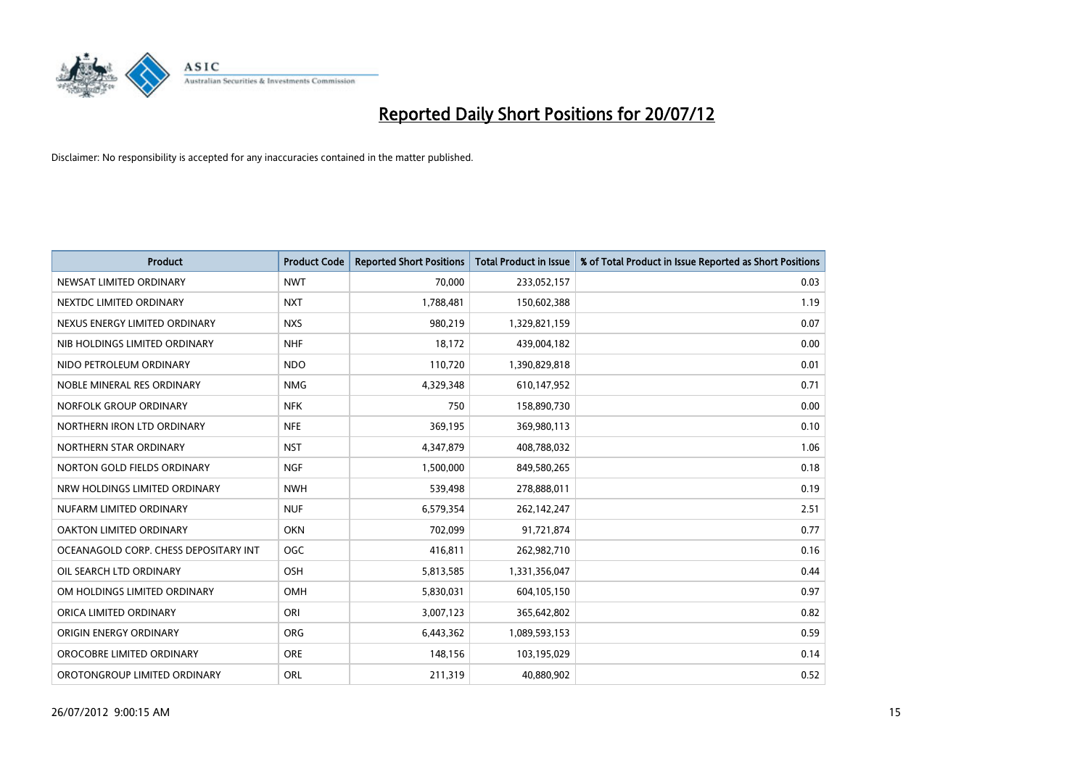

| <b>Product</b>                        | <b>Product Code</b> | <b>Reported Short Positions</b> | <b>Total Product in Issue</b> | % of Total Product in Issue Reported as Short Positions |
|---------------------------------------|---------------------|---------------------------------|-------------------------------|---------------------------------------------------------|
| NEWSAT LIMITED ORDINARY               | <b>NWT</b>          | 70.000                          | 233,052,157                   | 0.03                                                    |
| NEXTDC LIMITED ORDINARY               | <b>NXT</b>          | 1,788,481                       | 150,602,388                   | 1.19                                                    |
| NEXUS ENERGY LIMITED ORDINARY         | <b>NXS</b>          | 980,219                         | 1,329,821,159                 | 0.07                                                    |
| NIB HOLDINGS LIMITED ORDINARY         | <b>NHF</b>          | 18,172                          | 439,004,182                   | 0.00                                                    |
| NIDO PETROLEUM ORDINARY               | <b>NDO</b>          | 110,720                         | 1,390,829,818                 | 0.01                                                    |
| NOBLE MINERAL RES ORDINARY            | <b>NMG</b>          | 4,329,348                       | 610,147,952                   | 0.71                                                    |
| NORFOLK GROUP ORDINARY                | <b>NFK</b>          | 750                             | 158,890,730                   | 0.00                                                    |
| NORTHERN IRON LTD ORDINARY            | <b>NFE</b>          | 369,195                         | 369,980,113                   | 0.10                                                    |
| NORTHERN STAR ORDINARY                | <b>NST</b>          | 4,347,879                       | 408,788,032                   | 1.06                                                    |
| NORTON GOLD FIELDS ORDINARY           | <b>NGF</b>          | 1,500,000                       | 849,580,265                   | 0.18                                                    |
| NRW HOLDINGS LIMITED ORDINARY         | <b>NWH</b>          | 539,498                         | 278,888,011                   | 0.19                                                    |
| NUFARM LIMITED ORDINARY               | <b>NUF</b>          | 6,579,354                       | 262,142,247                   | 2.51                                                    |
| OAKTON LIMITED ORDINARY               | <b>OKN</b>          | 702,099                         | 91,721,874                    | 0.77                                                    |
| OCEANAGOLD CORP. CHESS DEPOSITARY INT | <b>OGC</b>          | 416,811                         | 262,982,710                   | 0.16                                                    |
| OIL SEARCH LTD ORDINARY               | OSH                 | 5,813,585                       | 1,331,356,047                 | 0.44                                                    |
| OM HOLDINGS LIMITED ORDINARY          | OMH                 | 5,830,031                       | 604,105,150                   | 0.97                                                    |
| ORICA LIMITED ORDINARY                | ORI                 | 3,007,123                       | 365,642,802                   | 0.82                                                    |
| ORIGIN ENERGY ORDINARY                | <b>ORG</b>          | 6,443,362                       | 1,089,593,153                 | 0.59                                                    |
| OROCOBRE LIMITED ORDINARY             | <b>ORE</b>          | 148,156                         | 103,195,029                   | 0.14                                                    |
| OROTONGROUP LIMITED ORDINARY          | <b>ORL</b>          | 211,319                         | 40,880,902                    | 0.52                                                    |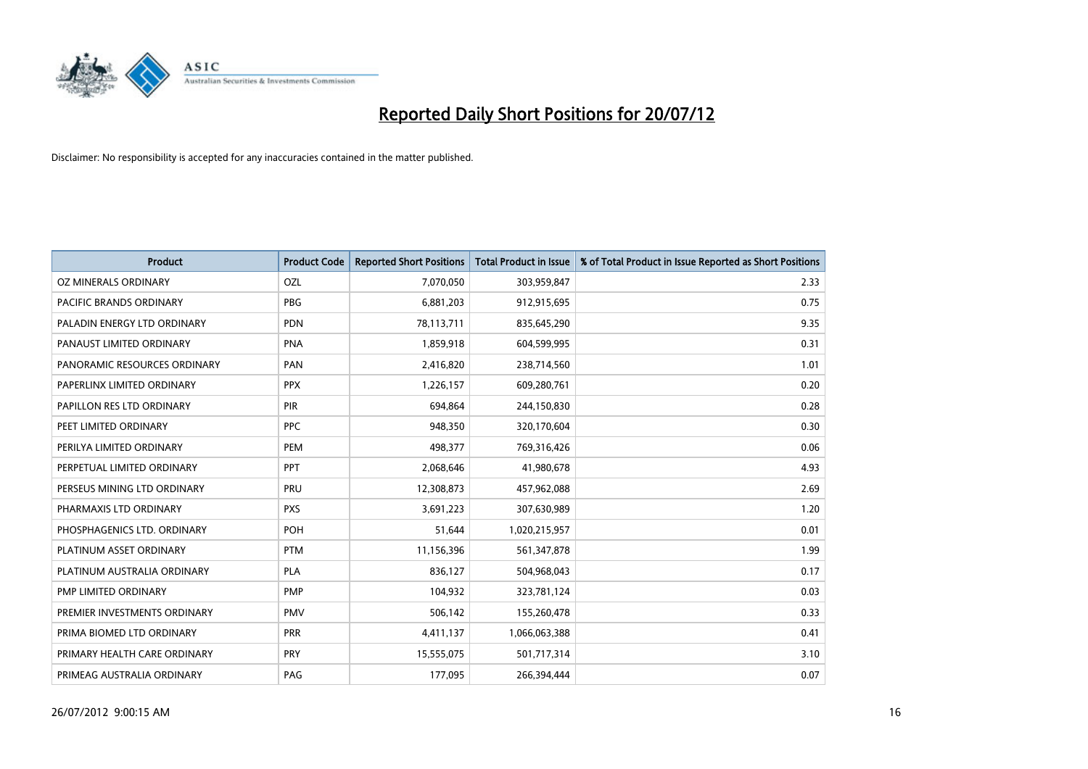

| <b>Product</b>               | <b>Product Code</b> | <b>Reported Short Positions</b> | <b>Total Product in Issue</b> | % of Total Product in Issue Reported as Short Positions |
|------------------------------|---------------------|---------------------------------|-------------------------------|---------------------------------------------------------|
| OZ MINERALS ORDINARY         | OZL                 | 7,070,050                       | 303,959,847                   | 2.33                                                    |
| PACIFIC BRANDS ORDINARY      | <b>PBG</b>          | 6,881,203                       | 912,915,695                   | 0.75                                                    |
| PALADIN ENERGY LTD ORDINARY  | <b>PDN</b>          | 78,113,711                      | 835,645,290                   | 9.35                                                    |
| PANAUST LIMITED ORDINARY     | <b>PNA</b>          | 1,859,918                       | 604,599,995                   | 0.31                                                    |
| PANORAMIC RESOURCES ORDINARY | PAN                 | 2,416,820                       | 238,714,560                   | 1.01                                                    |
| PAPERLINX LIMITED ORDINARY   | <b>PPX</b>          | 1,226,157                       | 609,280,761                   | 0.20                                                    |
| PAPILLON RES LTD ORDINARY    | <b>PIR</b>          | 694,864                         | 244,150,830                   | 0.28                                                    |
| PEET LIMITED ORDINARY        | <b>PPC</b>          | 948,350                         | 320,170,604                   | 0.30                                                    |
| PERILYA LIMITED ORDINARY     | PEM                 | 498,377                         | 769,316,426                   | 0.06                                                    |
| PERPETUAL LIMITED ORDINARY   | PPT                 | 2,068,646                       | 41,980,678                    | 4.93                                                    |
| PERSEUS MINING LTD ORDINARY  | PRU                 | 12,308,873                      | 457,962,088                   | 2.69                                                    |
| PHARMAXIS LTD ORDINARY       | <b>PXS</b>          | 3,691,223                       | 307,630,989                   | 1.20                                                    |
| PHOSPHAGENICS LTD. ORDINARY  | <b>POH</b>          | 51,644                          | 1,020,215,957                 | 0.01                                                    |
| PLATINUM ASSET ORDINARY      | <b>PTM</b>          | 11,156,396                      | 561,347,878                   | 1.99                                                    |
| PLATINUM AUSTRALIA ORDINARY  | PLA                 | 836,127                         | 504,968,043                   | 0.17                                                    |
| PMP LIMITED ORDINARY         | <b>PMP</b>          | 104,932                         | 323,781,124                   | 0.03                                                    |
| PREMIER INVESTMENTS ORDINARY | <b>PMV</b>          | 506,142                         | 155,260,478                   | 0.33                                                    |
| PRIMA BIOMED LTD ORDINARY    | <b>PRR</b>          | 4,411,137                       | 1,066,063,388                 | 0.41                                                    |
| PRIMARY HEALTH CARE ORDINARY | <b>PRY</b>          | 15,555,075                      | 501,717,314                   | 3.10                                                    |
| PRIMEAG AUSTRALIA ORDINARY   | PAG                 | 177,095                         | 266,394,444                   | 0.07                                                    |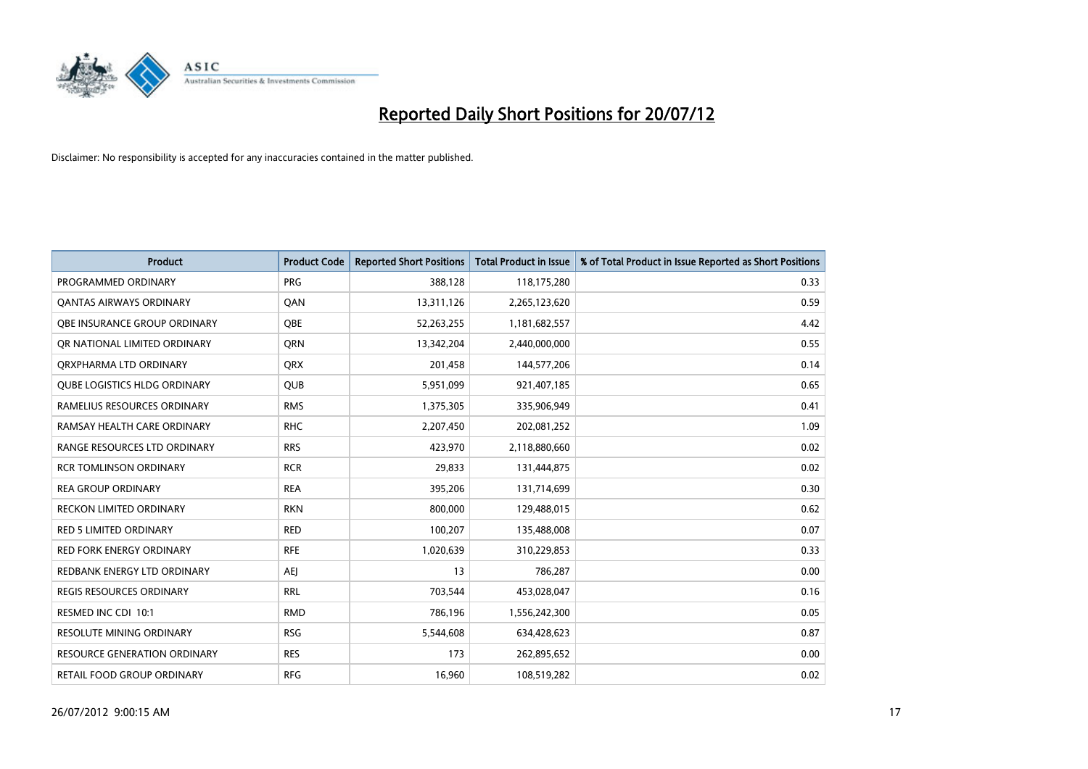

| <b>Product</b>                      | <b>Product Code</b> | <b>Reported Short Positions</b> | <b>Total Product in Issue</b> | % of Total Product in Issue Reported as Short Positions |
|-------------------------------------|---------------------|---------------------------------|-------------------------------|---------------------------------------------------------|
| PROGRAMMED ORDINARY                 | <b>PRG</b>          | 388,128                         | 118,175,280                   | 0.33                                                    |
| <b>QANTAS AIRWAYS ORDINARY</b>      | QAN                 | 13,311,126                      | 2,265,123,620                 | 0.59                                                    |
| OBE INSURANCE GROUP ORDINARY        | <b>OBE</b>          | 52,263,255                      | 1,181,682,557                 | 4.42                                                    |
| OR NATIONAL LIMITED ORDINARY        | <b>ORN</b>          | 13,342,204                      | 2,440,000,000                 | 0.55                                                    |
| ORXPHARMA LTD ORDINARY              | <b>QRX</b>          | 201,458                         | 144,577,206                   | 0.14                                                    |
| <b>OUBE LOGISTICS HLDG ORDINARY</b> | <b>QUB</b>          | 5,951,099                       | 921,407,185                   | 0.65                                                    |
| RAMELIUS RESOURCES ORDINARY         | <b>RMS</b>          | 1,375,305                       | 335,906,949                   | 0.41                                                    |
| RAMSAY HEALTH CARE ORDINARY         | <b>RHC</b>          | 2,207,450                       | 202,081,252                   | 1.09                                                    |
| RANGE RESOURCES LTD ORDINARY        | <b>RRS</b>          | 423,970                         | 2,118,880,660                 | 0.02                                                    |
| <b>RCR TOMLINSON ORDINARY</b>       | <b>RCR</b>          | 29,833                          | 131,444,875                   | 0.02                                                    |
| <b>REA GROUP ORDINARY</b>           | <b>REA</b>          | 395,206                         | 131,714,699                   | 0.30                                                    |
| <b>RECKON LIMITED ORDINARY</b>      | <b>RKN</b>          | 800,000                         | 129,488,015                   | 0.62                                                    |
| RED 5 LIMITED ORDINARY              | <b>RED</b>          | 100,207                         | 135,488,008                   | 0.07                                                    |
| <b>RED FORK ENERGY ORDINARY</b>     | <b>RFE</b>          | 1,020,639                       | 310,229,853                   | 0.33                                                    |
| REDBANK ENERGY LTD ORDINARY         | AEJ                 | 13                              | 786,287                       | 0.00                                                    |
| REGIS RESOURCES ORDINARY            | <b>RRL</b>          | 703,544                         | 453,028,047                   | 0.16                                                    |
| RESMED INC CDI 10:1                 | <b>RMD</b>          | 786,196                         | 1,556,242,300                 | 0.05                                                    |
| RESOLUTE MINING ORDINARY            | <b>RSG</b>          | 5,544,608                       | 634,428,623                   | 0.87                                                    |
| <b>RESOURCE GENERATION ORDINARY</b> | <b>RES</b>          | 173                             | 262,895,652                   | 0.00                                                    |
| RETAIL FOOD GROUP ORDINARY          | <b>RFG</b>          | 16,960                          | 108,519,282                   | 0.02                                                    |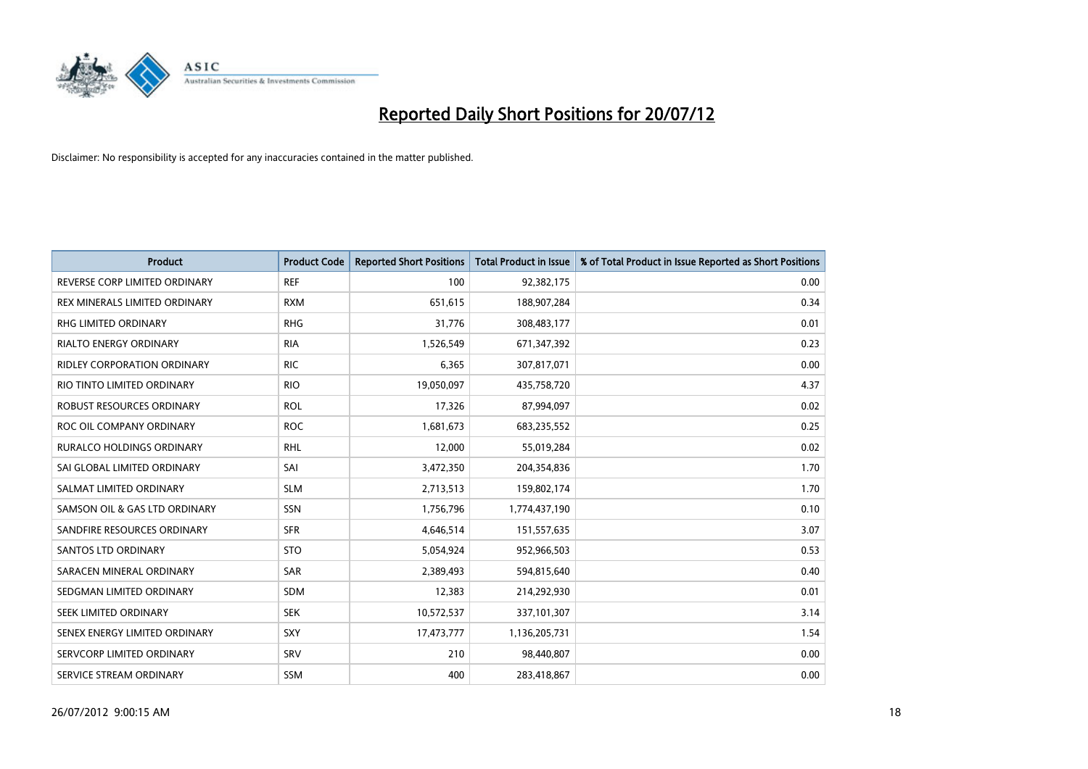

| <b>Product</b>                     | <b>Product Code</b> | <b>Reported Short Positions</b> | <b>Total Product in Issue</b> | % of Total Product in Issue Reported as Short Positions |
|------------------------------------|---------------------|---------------------------------|-------------------------------|---------------------------------------------------------|
| REVERSE CORP LIMITED ORDINARY      | <b>REF</b>          | 100                             | 92,382,175                    | 0.00                                                    |
| REX MINERALS LIMITED ORDINARY      | <b>RXM</b>          | 651,615                         | 188,907,284                   | 0.34                                                    |
| <b>RHG LIMITED ORDINARY</b>        | <b>RHG</b>          | 31,776                          | 308,483,177                   | 0.01                                                    |
| RIALTO ENERGY ORDINARY             | <b>RIA</b>          | 1,526,549                       | 671,347,392                   | 0.23                                                    |
| <b>RIDLEY CORPORATION ORDINARY</b> | <b>RIC</b>          | 6,365                           | 307,817,071                   | 0.00                                                    |
| RIO TINTO LIMITED ORDINARY         | <b>RIO</b>          | 19,050,097                      | 435,758,720                   | 4.37                                                    |
| ROBUST RESOURCES ORDINARY          | <b>ROL</b>          | 17,326                          | 87,994,097                    | 0.02                                                    |
| ROC OIL COMPANY ORDINARY           | <b>ROC</b>          | 1,681,673                       | 683,235,552                   | 0.25                                                    |
| <b>RURALCO HOLDINGS ORDINARY</b>   | <b>RHL</b>          | 12,000                          | 55,019,284                    | 0.02                                                    |
| SAI GLOBAL LIMITED ORDINARY        | SAI                 | 3,472,350                       | 204,354,836                   | 1.70                                                    |
| SALMAT LIMITED ORDINARY            | <b>SLM</b>          | 2,713,513                       | 159,802,174                   | 1.70                                                    |
| SAMSON OIL & GAS LTD ORDINARY      | SSN                 | 1,756,796                       | 1,774,437,190                 | 0.10                                                    |
| SANDFIRE RESOURCES ORDINARY        | <b>SFR</b>          | 4,646,514                       | 151,557,635                   | 3.07                                                    |
| <b>SANTOS LTD ORDINARY</b>         | <b>STO</b>          | 5,054,924                       | 952,966,503                   | 0.53                                                    |
| SARACEN MINERAL ORDINARY           | SAR                 | 2,389,493                       | 594,815,640                   | 0.40                                                    |
| SEDGMAN LIMITED ORDINARY           | <b>SDM</b>          | 12,383                          | 214,292,930                   | 0.01                                                    |
| SEEK LIMITED ORDINARY              | <b>SEK</b>          | 10,572,537                      | 337,101,307                   | 3.14                                                    |
| SENEX ENERGY LIMITED ORDINARY      | <b>SXY</b>          | 17,473,777                      | 1,136,205,731                 | 1.54                                                    |
| SERVCORP LIMITED ORDINARY          | SRV                 | 210                             | 98,440,807                    | 0.00                                                    |
| SERVICE STREAM ORDINARY            | <b>SSM</b>          | 400                             | 283,418,867                   | 0.00                                                    |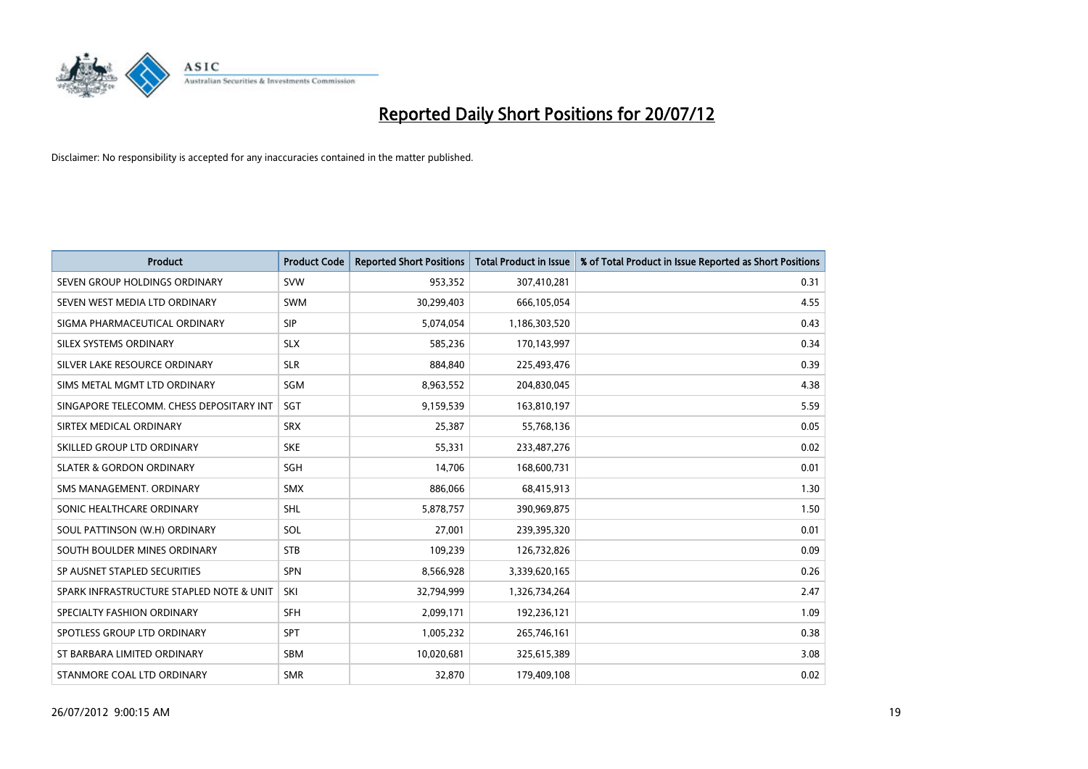

| <b>Product</b>                           | <b>Product Code</b> | <b>Reported Short Positions</b> | <b>Total Product in Issue</b> | % of Total Product in Issue Reported as Short Positions |
|------------------------------------------|---------------------|---------------------------------|-------------------------------|---------------------------------------------------------|
| SEVEN GROUP HOLDINGS ORDINARY            | <b>SVW</b>          | 953,352                         | 307,410,281                   | 0.31                                                    |
| SEVEN WEST MEDIA LTD ORDINARY            | <b>SWM</b>          | 30,299,403                      | 666,105,054                   | 4.55                                                    |
| SIGMA PHARMACEUTICAL ORDINARY            | <b>SIP</b>          | 5,074,054                       | 1,186,303,520                 | 0.43                                                    |
| SILEX SYSTEMS ORDINARY                   | <b>SLX</b>          | 585,236                         | 170,143,997                   | 0.34                                                    |
| SILVER LAKE RESOURCE ORDINARY            | <b>SLR</b>          | 884,840                         | 225,493,476                   | 0.39                                                    |
| SIMS METAL MGMT LTD ORDINARY             | SGM                 | 8,963,552                       | 204,830,045                   | 4.38                                                    |
| SINGAPORE TELECOMM. CHESS DEPOSITARY INT | <b>SGT</b>          | 9,159,539                       | 163,810,197                   | 5.59                                                    |
| SIRTEX MEDICAL ORDINARY                  | <b>SRX</b>          | 25,387                          | 55,768,136                    | 0.05                                                    |
| SKILLED GROUP LTD ORDINARY               | <b>SKE</b>          | 55,331                          | 233,487,276                   | 0.02                                                    |
| <b>SLATER &amp; GORDON ORDINARY</b>      | <b>SGH</b>          | 14,706                          | 168,600,731                   | 0.01                                                    |
| SMS MANAGEMENT. ORDINARY                 | <b>SMX</b>          | 886,066                         | 68,415,913                    | 1.30                                                    |
| SONIC HEALTHCARE ORDINARY                | <b>SHL</b>          | 5,878,757                       | 390,969,875                   | 1.50                                                    |
| SOUL PATTINSON (W.H) ORDINARY            | SOL                 | 27,001                          | 239,395,320                   | 0.01                                                    |
| SOUTH BOULDER MINES ORDINARY             | <b>STB</b>          | 109,239                         | 126,732,826                   | 0.09                                                    |
| SP AUSNET STAPLED SECURITIES             | <b>SPN</b>          | 8,566,928                       | 3,339,620,165                 | 0.26                                                    |
| SPARK INFRASTRUCTURE STAPLED NOTE & UNIT | SKI                 | 32,794,999                      | 1,326,734,264                 | 2.47                                                    |
| SPECIALTY FASHION ORDINARY               | <b>SFH</b>          | 2,099,171                       | 192,236,121                   | 1.09                                                    |
| SPOTLESS GROUP LTD ORDINARY              | <b>SPT</b>          | 1,005,232                       | 265,746,161                   | 0.38                                                    |
| ST BARBARA LIMITED ORDINARY              | SBM                 | 10,020,681                      | 325,615,389                   | 3.08                                                    |
| STANMORE COAL LTD ORDINARY               | <b>SMR</b>          | 32,870                          | 179,409,108                   | 0.02                                                    |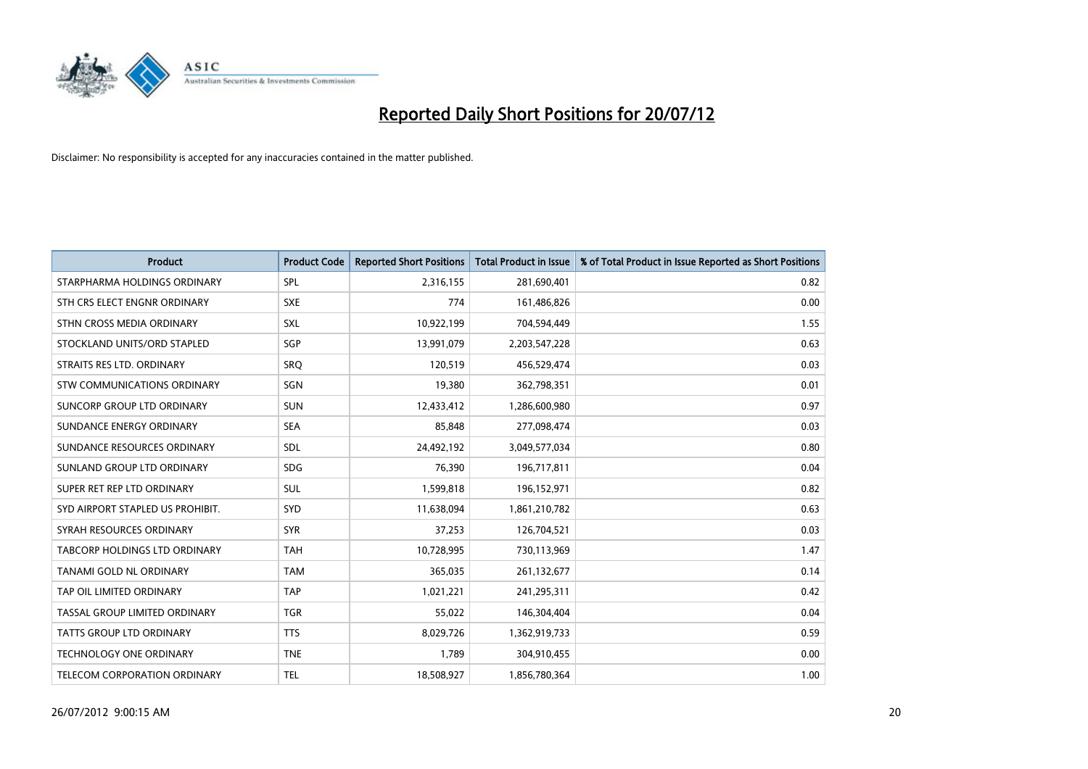

| <b>Product</b>                       | <b>Product Code</b> | <b>Reported Short Positions</b> | <b>Total Product in Issue</b> | % of Total Product in Issue Reported as Short Positions |
|--------------------------------------|---------------------|---------------------------------|-------------------------------|---------------------------------------------------------|
| STARPHARMA HOLDINGS ORDINARY         | SPL                 | 2,316,155                       | 281,690,401                   | 0.82                                                    |
| STH CRS ELECT ENGNR ORDINARY         | <b>SXE</b>          | 774                             | 161,486,826                   | 0.00                                                    |
| STHN CROSS MEDIA ORDINARY            | <b>SXL</b>          | 10,922,199                      | 704,594,449                   | 1.55                                                    |
| STOCKLAND UNITS/ORD STAPLED          | SGP                 | 13,991,079                      | 2,203,547,228                 | 0.63                                                    |
| STRAITS RES LTD. ORDINARY            | SRO                 | 120,519                         | 456,529,474                   | 0.03                                                    |
| <b>STW COMMUNICATIONS ORDINARY</b>   | SGN                 | 19,380                          | 362,798,351                   | 0.01                                                    |
| SUNCORP GROUP LTD ORDINARY           | <b>SUN</b>          | 12,433,412                      | 1,286,600,980                 | 0.97                                                    |
| SUNDANCE ENERGY ORDINARY             | <b>SEA</b>          | 85,848                          | 277,098,474                   | 0.03                                                    |
| SUNDANCE RESOURCES ORDINARY          | <b>SDL</b>          | 24,492,192                      | 3,049,577,034                 | 0.80                                                    |
| SUNLAND GROUP LTD ORDINARY           | <b>SDG</b>          | 76,390                          | 196,717,811                   | 0.04                                                    |
| SUPER RET REP LTD ORDINARY           | <b>SUL</b>          | 1,599,818                       | 196,152,971                   | 0.82                                                    |
| SYD AIRPORT STAPLED US PROHIBIT.     | <b>SYD</b>          | 11,638,094                      | 1,861,210,782                 | 0.63                                                    |
| SYRAH RESOURCES ORDINARY             | <b>SYR</b>          | 37,253                          | 126,704,521                   | 0.03                                                    |
| <b>TABCORP HOLDINGS LTD ORDINARY</b> | <b>TAH</b>          | 10,728,995                      | 730,113,969                   | 1.47                                                    |
| TANAMI GOLD NL ORDINARY              | <b>TAM</b>          | 365,035                         | 261,132,677                   | 0.14                                                    |
| TAP OIL LIMITED ORDINARY             | <b>TAP</b>          | 1,021,221                       | 241,295,311                   | 0.42                                                    |
| TASSAL GROUP LIMITED ORDINARY        | <b>TGR</b>          | 55,022                          | 146,304,404                   | 0.04                                                    |
| TATTS GROUP LTD ORDINARY             | <b>TTS</b>          | 8,029,726                       | 1,362,919,733                 | 0.59                                                    |
| <b>TECHNOLOGY ONE ORDINARY</b>       | <b>TNE</b>          | 1,789                           | 304,910,455                   | 0.00                                                    |
| TELECOM CORPORATION ORDINARY         | <b>TEL</b>          | 18,508,927                      | 1,856,780,364                 | 1.00                                                    |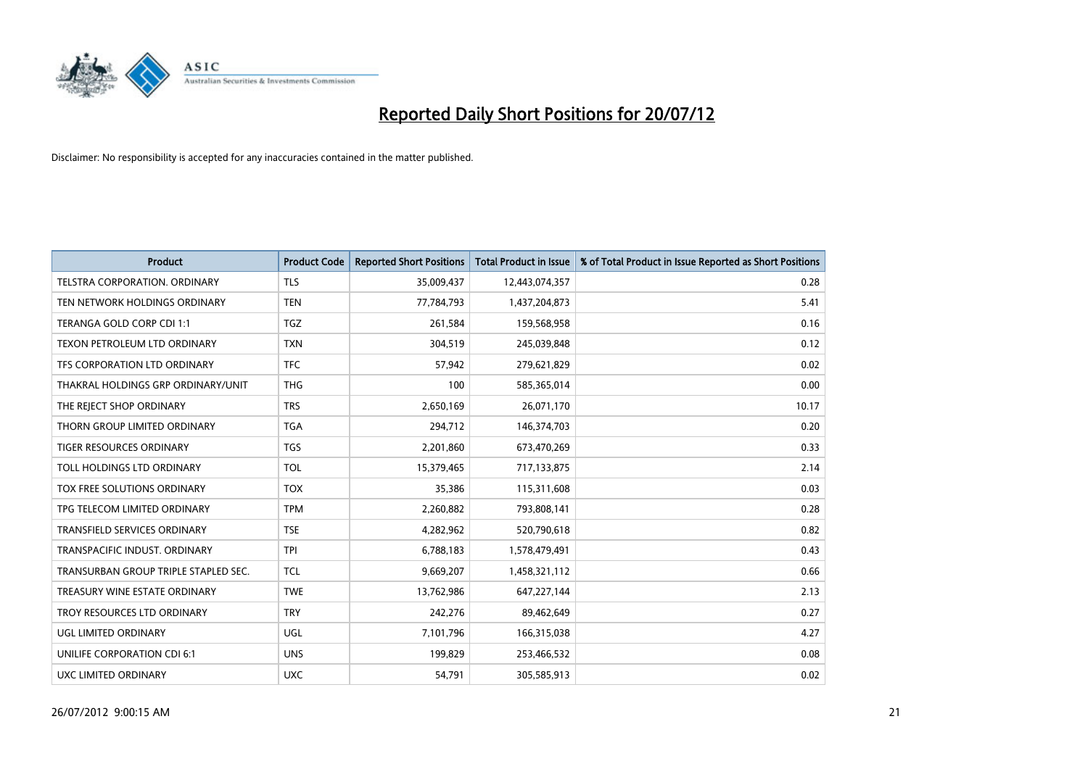

| <b>Product</b>                       | <b>Product Code</b> | <b>Reported Short Positions</b> | <b>Total Product in Issue</b> | % of Total Product in Issue Reported as Short Positions |
|--------------------------------------|---------------------|---------------------------------|-------------------------------|---------------------------------------------------------|
| <b>TELSTRA CORPORATION, ORDINARY</b> | <b>TLS</b>          | 35,009,437                      | 12,443,074,357                | 0.28                                                    |
| TEN NETWORK HOLDINGS ORDINARY        | <b>TEN</b>          | 77,784,793                      | 1,437,204,873                 | 5.41                                                    |
| TERANGA GOLD CORP CDI 1:1            | <b>TGZ</b>          | 261,584                         | 159,568,958                   | 0.16                                                    |
| TEXON PETROLEUM LTD ORDINARY         | <b>TXN</b>          | 304,519                         | 245,039,848                   | 0.12                                                    |
| <b>TFS CORPORATION LTD ORDINARY</b>  | <b>TFC</b>          | 57,942                          | 279,621,829                   | 0.02                                                    |
| THAKRAL HOLDINGS GRP ORDINARY/UNIT   | <b>THG</b>          | 100                             | 585,365,014                   | 0.00                                                    |
| THE REJECT SHOP ORDINARY             | <b>TRS</b>          | 2,650,169                       | 26,071,170                    | 10.17                                                   |
| THORN GROUP LIMITED ORDINARY         | <b>TGA</b>          | 294,712                         | 146,374,703                   | 0.20                                                    |
| TIGER RESOURCES ORDINARY             | <b>TGS</b>          | 2,201,860                       | 673,470,269                   | 0.33                                                    |
| TOLL HOLDINGS LTD ORDINARY           | <b>TOL</b>          | 15,379,465                      | 717,133,875                   | 2.14                                                    |
| TOX FREE SOLUTIONS ORDINARY          | <b>TOX</b>          | 35,386                          | 115,311,608                   | 0.03                                                    |
| TPG TELECOM LIMITED ORDINARY         | <b>TPM</b>          | 2,260,882                       | 793,808,141                   | 0.28                                                    |
| TRANSFIELD SERVICES ORDINARY         | <b>TSE</b>          | 4,282,962                       | 520,790,618                   | 0.82                                                    |
| TRANSPACIFIC INDUST, ORDINARY        | <b>TPI</b>          | 6,788,183                       | 1,578,479,491                 | 0.43                                                    |
| TRANSURBAN GROUP TRIPLE STAPLED SEC. | <b>TCL</b>          | 9,669,207                       | 1,458,321,112                 | 0.66                                                    |
| TREASURY WINE ESTATE ORDINARY        | <b>TWE</b>          | 13,762,986                      | 647,227,144                   | 2.13                                                    |
| TROY RESOURCES LTD ORDINARY          | <b>TRY</b>          | 242,276                         | 89,462,649                    | 0.27                                                    |
| UGL LIMITED ORDINARY                 | UGL                 | 7,101,796                       | 166,315,038                   | 4.27                                                    |
| UNILIFE CORPORATION CDI 6:1          | <b>UNS</b>          | 199,829                         | 253,466,532                   | 0.08                                                    |
| UXC LIMITED ORDINARY                 | <b>UXC</b>          | 54,791                          | 305,585,913                   | 0.02                                                    |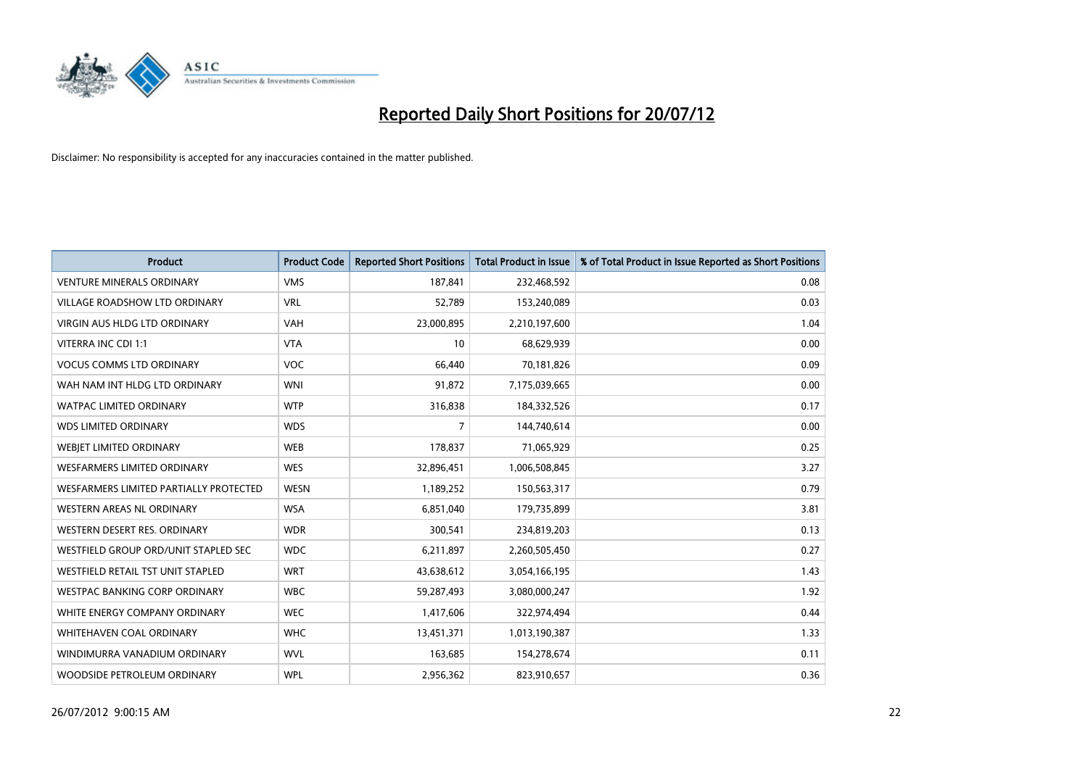

| <b>Product</b>                           | <b>Product Code</b> | <b>Reported Short Positions</b> | <b>Total Product in Issue</b> | % of Total Product in Issue Reported as Short Positions |
|------------------------------------------|---------------------|---------------------------------|-------------------------------|---------------------------------------------------------|
| <b>VENTURE MINERALS ORDINARY</b>         | <b>VMS</b>          | 187,841                         | 232,468,592                   | 0.08                                                    |
| VILLAGE ROADSHOW LTD ORDINARY            | <b>VRL</b>          | 52,789                          | 153,240,089                   | 0.03                                                    |
| <b>VIRGIN AUS HLDG LTD ORDINARY</b>      | <b>VAH</b>          | 23,000,895                      | 2,210,197,600                 | 1.04                                                    |
| VITERRA INC CDI 1:1                      | <b>VTA</b>          | 10                              | 68,629,939                    | 0.00                                                    |
| <b>VOCUS COMMS LTD ORDINARY</b>          | <b>VOC</b>          | 66,440                          | 70,181,826                    | 0.09                                                    |
| WAH NAM INT HLDG LTD ORDINARY            | <b>WNI</b>          | 91,872                          | 7,175,039,665                 | 0.00                                                    |
| <b>WATPAC LIMITED ORDINARY</b>           | <b>WTP</b>          | 316,838                         | 184,332,526                   | 0.17                                                    |
| <b>WDS LIMITED ORDINARY</b>              | <b>WDS</b>          | $\overline{7}$                  | 144,740,614                   | 0.00                                                    |
| WEBIET LIMITED ORDINARY                  | <b>WEB</b>          | 178,837                         | 71,065,929                    | 0.25                                                    |
| <b>WESFARMERS LIMITED ORDINARY</b>       | <b>WES</b>          | 32,896,451                      | 1,006,508,845                 | 3.27                                                    |
| WESFARMERS LIMITED PARTIALLY PROTECTED   | <b>WESN</b>         | 1,189,252                       | 150,563,317                   | 0.79                                                    |
| WESTERN AREAS NL ORDINARY                | <b>WSA</b>          | 6,851,040                       | 179,735,899                   | 3.81                                                    |
| WESTERN DESERT RES. ORDINARY             | <b>WDR</b>          | 300,541                         | 234,819,203                   | 0.13                                                    |
| WESTFIELD GROUP ORD/UNIT STAPLED SEC     | <b>WDC</b>          | 6,211,897                       | 2,260,505,450                 | 0.27                                                    |
| <b>WESTFIELD RETAIL TST UNIT STAPLED</b> | <b>WRT</b>          | 43,638,612                      | 3,054,166,195                 | 1.43                                                    |
| WESTPAC BANKING CORP ORDINARY            | <b>WBC</b>          | 59,287,493                      | 3,080,000,247                 | 1.92                                                    |
| WHITE ENERGY COMPANY ORDINARY            | <b>WEC</b>          | 1,417,606                       | 322,974,494                   | 0.44                                                    |
| <b>WHITEHAVEN COAL ORDINARY</b>          | <b>WHC</b>          | 13,451,371                      | 1,013,190,387                 | 1.33                                                    |
| WINDIMURRA VANADIUM ORDINARY             | <b>WVL</b>          | 163,685                         | 154,278,674                   | 0.11                                                    |
| WOODSIDE PETROLEUM ORDINARY              | <b>WPL</b>          | 2,956,362                       | 823,910,657                   | 0.36                                                    |